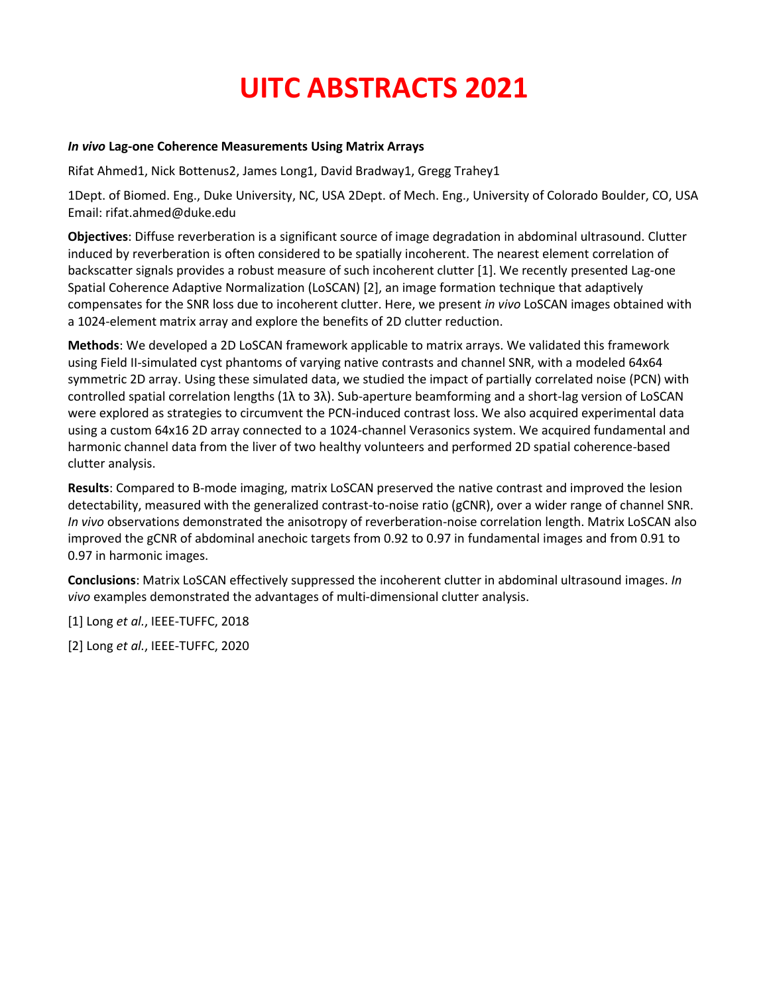# **UITC ABSTRACTS 2021**

#### *In vivo* **Lag-one Coherence Measurements Using Matrix Arrays**

Rifat Ahmed1, Nick Bottenus2, James Long1, David Bradway1, Gregg Trahey1

1Dept. of Biomed. Eng., Duke University, NC, USA 2Dept. of Mech. Eng., University of Colorado Boulder, CO, USA Email: rifat.ahmed@duke.edu

**Objectives**: Diffuse reverberation is a significant source of image degradation in abdominal ultrasound. Clutter induced by reverberation is often considered to be spatially incoherent. The nearest element correlation of backscatter signals provides a robust measure of such incoherent clutter [1]. We recently presented Lag-one Spatial Coherence Adaptive Normalization (LoSCAN) [2], an image formation technique that adaptively compensates for the SNR loss due to incoherent clutter. Here, we present *in vivo* LoSCAN images obtained with a 1024-element matrix array and explore the benefits of 2D clutter reduction.

**Methods**: We developed a 2D LoSCAN framework applicable to matrix arrays. We validated this framework using Field II-simulated cyst phantoms of varying native contrasts and channel SNR, with a modeled 64x64 symmetric 2D array. Using these simulated data, we studied the impact of partially correlated noise (PCN) with controlled spatial correlation lengths (1λ to 3λ). Sub-aperture beamforming and a short-lag version of LoSCAN were explored as strategies to circumvent the PCN-induced contrast loss. We also acquired experimental data using a custom 64x16 2D array connected to a 1024-channel Verasonics system. We acquired fundamental and harmonic channel data from the liver of two healthy volunteers and performed 2D spatial coherence-based clutter analysis.

**Results**: Compared to B-mode imaging, matrix LoSCAN preserved the native contrast and improved the lesion detectability, measured with the generalized contrast-to-noise ratio (gCNR), over a wider range of channel SNR. *In vivo* observations demonstrated the anisotropy of reverberation-noise correlation length. Matrix LoSCAN also improved the gCNR of abdominal anechoic targets from 0.92 to 0.97 in fundamental images and from 0.91 to 0.97 in harmonic images.

**Conclusions**: Matrix LoSCAN effectively suppressed the incoherent clutter in abdominal ultrasound images. *In vivo* examples demonstrated the advantages of multi-dimensional clutter analysis.

[1] Long *et al.*, IEEE-TUFFC, 2018

[2] Long *et al.*, IEEE-TUFFC, 2020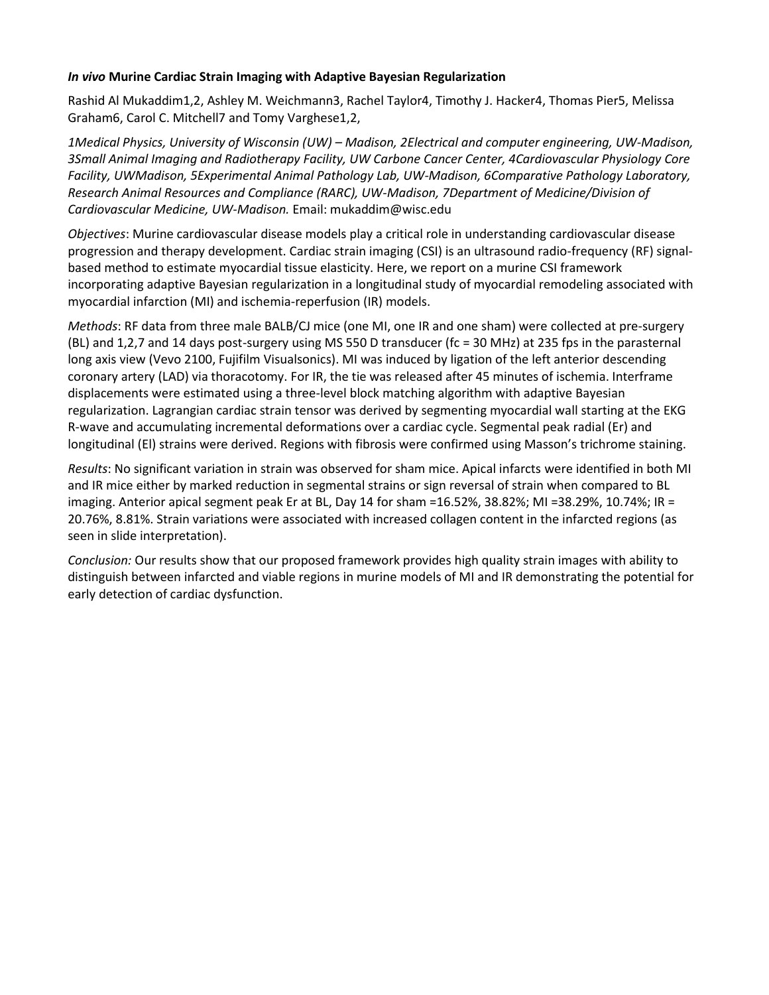## *In vivo* **Murine Cardiac Strain Imaging with Adaptive Bayesian Regularization**

Rashid Al Mukaddim1,2, Ashley M. Weichmann3, Rachel Taylor4, Timothy J. Hacker4, Thomas Pier5, Melissa Graham6, Carol C. Mitchell7 and Tomy Varghese1,2,

*1Medical Physics, University of Wisconsin (UW) – Madison, 2Electrical and computer engineering, UW-Madison, 3Small Animal Imaging and Radiotherapy Facility, UW Carbone Cancer Center, 4Cardiovascular Physiology Core Facility, UWMadison, 5Experimental Animal Pathology Lab, UW-Madison, 6Comparative Pathology Laboratory, Research Animal Resources and Compliance (RARC), UW-Madison, 7Department of Medicine/Division of Cardiovascular Medicine, UW-Madison.* Email: mukaddim@wisc.edu

*Objectives*: Murine cardiovascular disease models play a critical role in understanding cardiovascular disease progression and therapy development. Cardiac strain imaging (CSI) is an ultrasound radio-frequency (RF) signalbased method to estimate myocardial tissue elasticity. Here, we report on a murine CSI framework incorporating adaptive Bayesian regularization in a longitudinal study of myocardial remodeling associated with myocardial infarction (MI) and ischemia-reperfusion (IR) models.

*Methods*: RF data from three male BALB/CJ mice (one MI, one IR and one sham) were collected at pre-surgery (BL) and 1,2,7 and 14 days post-surgery using MS 550 D transducer (fc = 30 MHz) at 235 fps in the parasternal long axis view (Vevo 2100, Fujifilm Visualsonics). MI was induced by ligation of the left anterior descending coronary artery (LAD) via thoracotomy. For IR, the tie was released after 45 minutes of ischemia. Interframe displacements were estimated using a three-level block matching algorithm with adaptive Bayesian regularization. Lagrangian cardiac strain tensor was derived by segmenting myocardial wall starting at the EKG R-wave and accumulating incremental deformations over a cardiac cycle. Segmental peak radial (Er) and longitudinal (El) strains were derived. Regions with fibrosis were confirmed using Masson's trichrome staining.

*Results*: No significant variation in strain was observed for sham mice. Apical infarcts were identified in both MI and IR mice either by marked reduction in segmental strains or sign reversal of strain when compared to BL imaging. Anterior apical segment peak Er at BL, Day 14 for sham =16.52%, 38.82%; MI =38.29%, 10.74%; IR = 20.76%, 8.81%. Strain variations were associated with increased collagen content in the infarcted regions (as seen in slide interpretation).

*Conclusion:* Our results show that our proposed framework provides high quality strain images with ability to distinguish between infarcted and viable regions in murine models of MI and IR demonstrating the potential for early detection of cardiac dysfunction.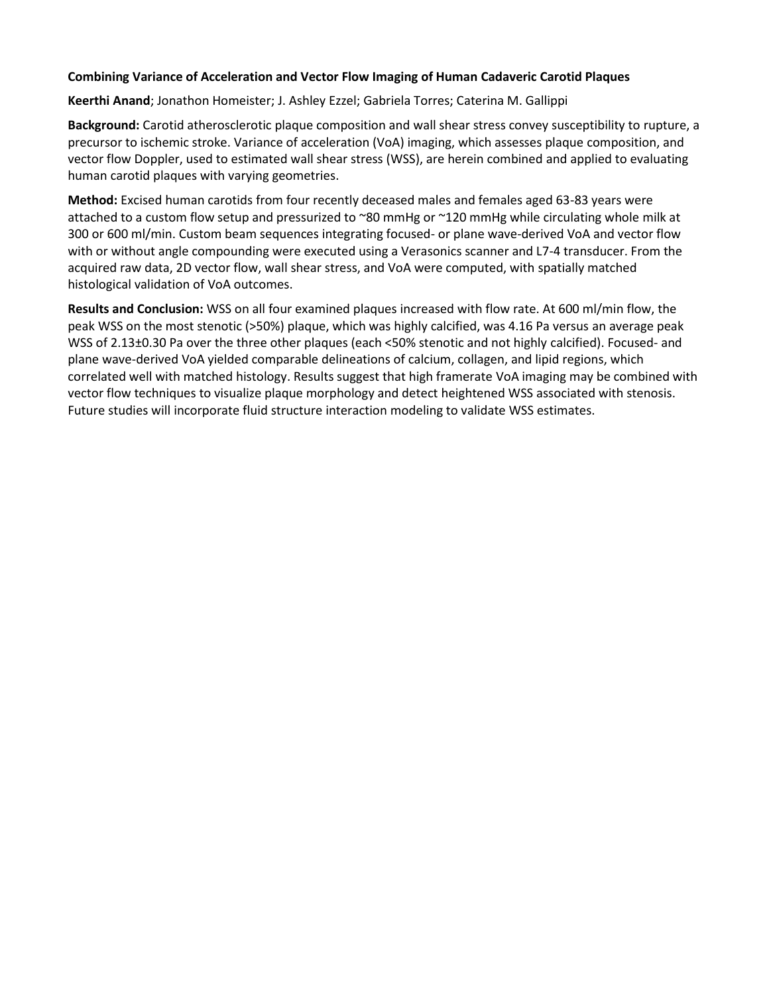# **Combining Variance of Acceleration and Vector Flow Imaging of Human Cadaveric Carotid Plaques**

**Keerthi Anand**; Jonathon Homeister; J. Ashley Ezzel; Gabriela Torres; Caterina M. Gallippi

**Background:** Carotid atherosclerotic plaque composition and wall shear stress convey susceptibility to rupture, a precursor to ischemic stroke. Variance of acceleration (VoA) imaging, which assesses plaque composition, and vector flow Doppler, used to estimated wall shear stress (WSS), are herein combined and applied to evaluating human carotid plaques with varying geometries.

**Method:** Excised human carotids from four recently deceased males and females aged 63-83 years were attached to a custom flow setup and pressurized to ~80 mmHg or ~120 mmHg while circulating whole milk at 300 or 600 ml/min. Custom beam sequences integrating focused- or plane wave-derived VoA and vector flow with or without angle compounding were executed using a Verasonics scanner and L7-4 transducer. From the acquired raw data, 2D vector flow, wall shear stress, and VoA were computed, with spatially matched histological validation of VoA outcomes.

**Results and Conclusion:** WSS on all four examined plaques increased with flow rate. At 600 ml/min flow, the peak WSS on the most stenotic (>50%) plaque, which was highly calcified, was 4.16 Pa versus an average peak WSS of 2.13±0.30 Pa over the three other plaques (each <50% stenotic and not highly calcified). Focused- and plane wave-derived VoA yielded comparable delineations of calcium, collagen, and lipid regions, which correlated well with matched histology. Results suggest that high framerate VoA imaging may be combined with vector flow techniques to visualize plaque morphology and detect heightened WSS associated with stenosis. Future studies will incorporate fluid structure interaction modeling to validate WSS estimates.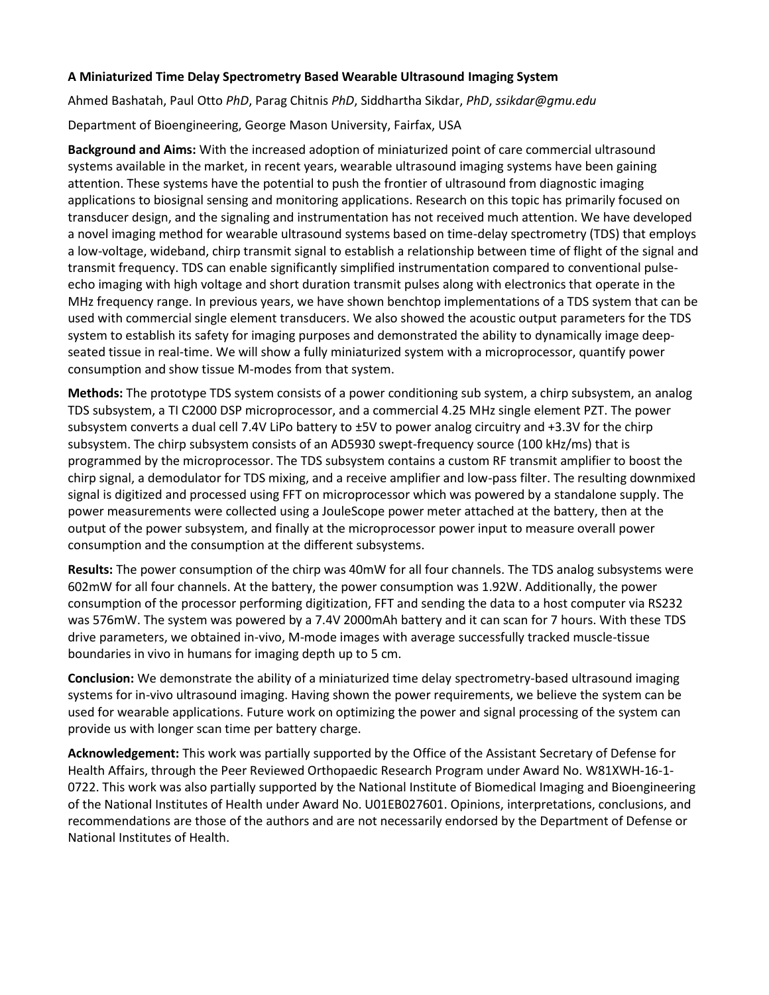# **A Miniaturized Time Delay Spectrometry Based Wearable Ultrasound Imaging System**

Ahmed Bashatah, Paul Otto *PhD*, Parag Chitnis *PhD*, Siddhartha Sikdar, *PhD*, *ssikdar@gmu.edu*

Department of Bioengineering, George Mason University, Fairfax, USA

**Background and Aims:** With the increased adoption of miniaturized point of care commercial ultrasound systems available in the market, in recent years, wearable ultrasound imaging systems have been gaining attention. These systems have the potential to push the frontier of ultrasound from diagnostic imaging applications to biosignal sensing and monitoring applications. Research on this topic has primarily focused on transducer design, and the signaling and instrumentation has not received much attention. We have developed a novel imaging method for wearable ultrasound systems based on time-delay spectrometry (TDS) that employs a low-voltage, wideband, chirp transmit signal to establish a relationship between time of flight of the signal and transmit frequency. TDS can enable significantly simplified instrumentation compared to conventional pulseecho imaging with high voltage and short duration transmit pulses along with electronics that operate in the MHz frequency range. In previous years, we have shown benchtop implementations of a TDS system that can be used with commercial single element transducers. We also showed the acoustic output parameters for the TDS system to establish its safety for imaging purposes and demonstrated the ability to dynamically image deepseated tissue in real-time. We will show a fully miniaturized system with a microprocessor, quantify power consumption and show tissue M-modes from that system.

**Methods:** The prototype TDS system consists of a power conditioning sub system, a chirp subsystem, an analog TDS subsystem, a TI C2000 DSP microprocessor, and a commercial 4.25 MHz single element PZT. The power subsystem converts a dual cell 7.4V LiPo battery to ±5V to power analog circuitry and +3.3V for the chirp subsystem. The chirp subsystem consists of an AD5930 swept-frequency source (100 kHz/ms) that is programmed by the microprocessor. The TDS subsystem contains a custom RF transmit amplifier to boost the chirp signal, a demodulator for TDS mixing, and a receive amplifier and low-pass filter. The resulting downmixed signal is digitized and processed using FFT on microprocessor which was powered by a standalone supply. The power measurements were collected using a JouleScope power meter attached at the battery, then at the output of the power subsystem, and finally at the microprocessor power input to measure overall power consumption and the consumption at the different subsystems.

**Results:** The power consumption of the chirp was 40mW for all four channels. The TDS analog subsystems were 602mW for all four channels. At the battery, the power consumption was 1.92W. Additionally, the power consumption of the processor performing digitization, FFT and sending the data to a host computer via RS232 was 576mW. The system was powered by a 7.4V 2000mAh battery and it can scan for 7 hours. With these TDS drive parameters, we obtained in-vivo, M-mode images with average successfully tracked muscle-tissue boundaries in vivo in humans for imaging depth up to 5 cm.

**Conclusion:** We demonstrate the ability of a miniaturized time delay spectrometry-based ultrasound imaging systems for in-vivo ultrasound imaging. Having shown the power requirements, we believe the system can be used for wearable applications. Future work on optimizing the power and signal processing of the system can provide us with longer scan time per battery charge.

**Acknowledgement:** This work was partially supported by the Office of the Assistant Secretary of Defense for Health Affairs, through the Peer Reviewed Orthopaedic Research Program under Award No. W81XWH-16-1- 0722. This work was also partially supported by the National Institute of Biomedical Imaging and Bioengineering of the National Institutes of Health under Award No. U01EB027601. Opinions, interpretations, conclusions, and recommendations are those of the authors and are not necessarily endorsed by the Department of Defense or National Institutes of Health.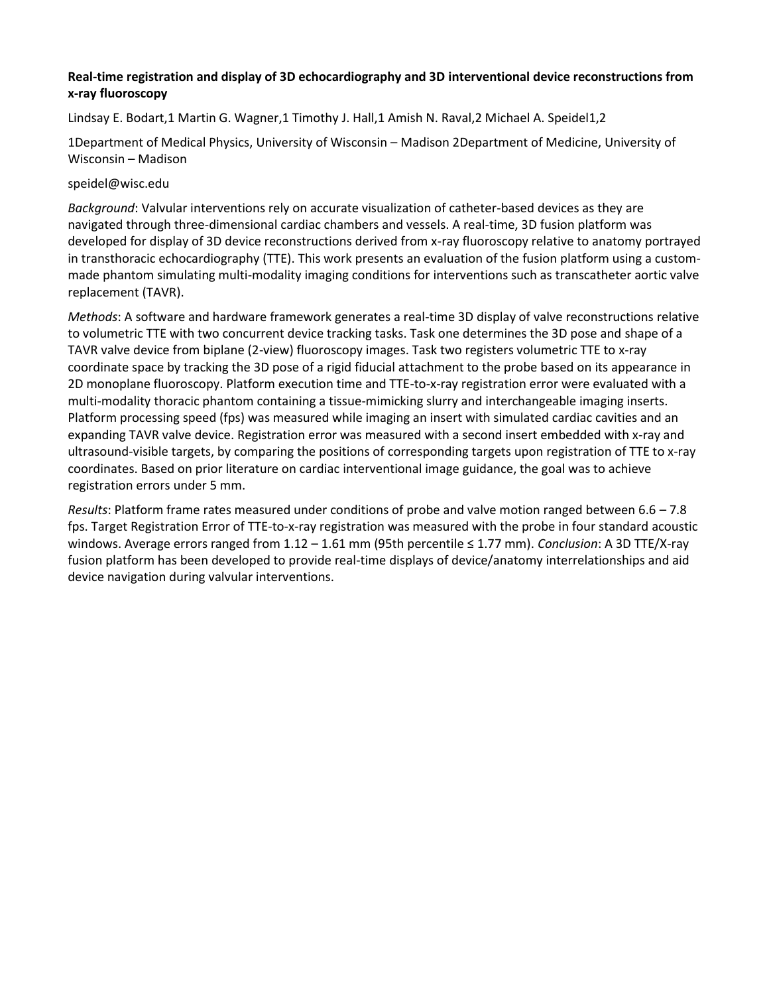# **Real-time registration and display of 3D echocardiography and 3D interventional device reconstructions from x-ray fluoroscopy**

Lindsay E. Bodart,1 Martin G. Wagner,1 Timothy J. Hall,1 Amish N. Raval,2 Michael A. Speidel1,2

1Department of Medical Physics, University of Wisconsin – Madison 2Department of Medicine, University of Wisconsin – Madison

# speidel@wisc.edu

*Background*: Valvular interventions rely on accurate visualization of catheter-based devices as they are navigated through three-dimensional cardiac chambers and vessels. A real-time, 3D fusion platform was developed for display of 3D device reconstructions derived from x-ray fluoroscopy relative to anatomy portrayed in transthoracic echocardiography (TTE). This work presents an evaluation of the fusion platform using a custommade phantom simulating multi-modality imaging conditions for interventions such as transcatheter aortic valve replacement (TAVR).

*Methods*: A software and hardware framework generates a real-time 3D display of valve reconstructions relative to volumetric TTE with two concurrent device tracking tasks. Task one determines the 3D pose and shape of a TAVR valve device from biplane (2-view) fluoroscopy images. Task two registers volumetric TTE to x-ray coordinate space by tracking the 3D pose of a rigid fiducial attachment to the probe based on its appearance in 2D monoplane fluoroscopy. Platform execution time and TTE-to-x-ray registration error were evaluated with a multi-modality thoracic phantom containing a tissue-mimicking slurry and interchangeable imaging inserts. Platform processing speed (fps) was measured while imaging an insert with simulated cardiac cavities and an expanding TAVR valve device. Registration error was measured with a second insert embedded with x-ray and ultrasound-visible targets, by comparing the positions of corresponding targets upon registration of TTE to x-ray coordinates. Based on prior literature on cardiac interventional image guidance, the goal was to achieve registration errors under 5 mm.

*Results*: Platform frame rates measured under conditions of probe and valve motion ranged between 6.6 – 7.8 fps. Target Registration Error of TTE-to-x-ray registration was measured with the probe in four standard acoustic windows. Average errors ranged from 1.12 – 1.61 mm (95th percentile ≤ 1.77 mm). *Conclusion*: A 3D TTE/X-ray fusion platform has been developed to provide real-time displays of device/anatomy interrelationships and aid device navigation during valvular interventions.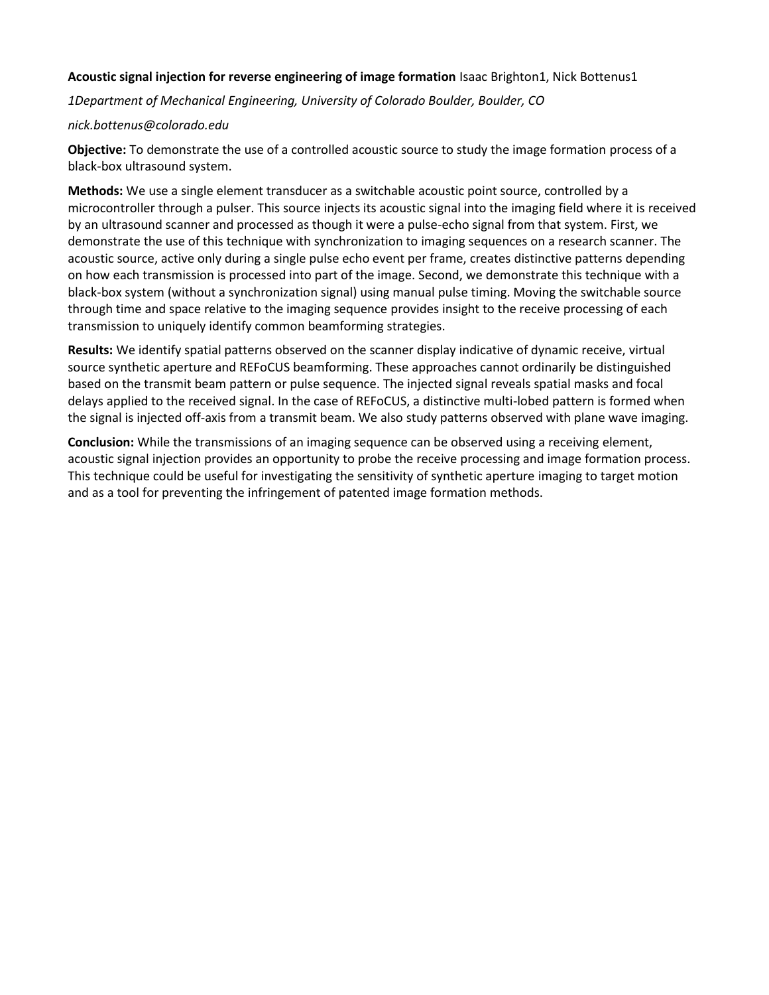# **Acoustic signal injection for reverse engineering of image formation** Isaac Brighton1, Nick Bottenus1

*1Department of Mechanical Engineering, University of Colorado Boulder, Boulder, CO*

## *nick.bottenus@colorado.edu*

**Objective:** To demonstrate the use of a controlled acoustic source to study the image formation process of a black-box ultrasound system.

**Methods:** We use a single element transducer as a switchable acoustic point source, controlled by a microcontroller through a pulser. This source injects its acoustic signal into the imaging field where it is received by an ultrasound scanner and processed as though it were a pulse-echo signal from that system. First, we demonstrate the use of this technique with synchronization to imaging sequences on a research scanner. The acoustic source, active only during a single pulse echo event per frame, creates distinctive patterns depending on how each transmission is processed into part of the image. Second, we demonstrate this technique with a black-box system (without a synchronization signal) using manual pulse timing. Moving the switchable source through time and space relative to the imaging sequence provides insight to the receive processing of each transmission to uniquely identify common beamforming strategies.

**Results:** We identify spatial patterns observed on the scanner display indicative of dynamic receive, virtual source synthetic aperture and REFoCUS beamforming. These approaches cannot ordinarily be distinguished based on the transmit beam pattern or pulse sequence. The injected signal reveals spatial masks and focal delays applied to the received signal. In the case of REFoCUS, a distinctive multi-lobed pattern is formed when the signal is injected off-axis from a transmit beam. We also study patterns observed with plane wave imaging.

**Conclusion:** While the transmissions of an imaging sequence can be observed using a receiving element, acoustic signal injection provides an opportunity to probe the receive processing and image formation process. This technique could be useful for investigating the sensitivity of synthetic aperture imaging to target motion and as a tool for preventing the infringement of patented image formation methods.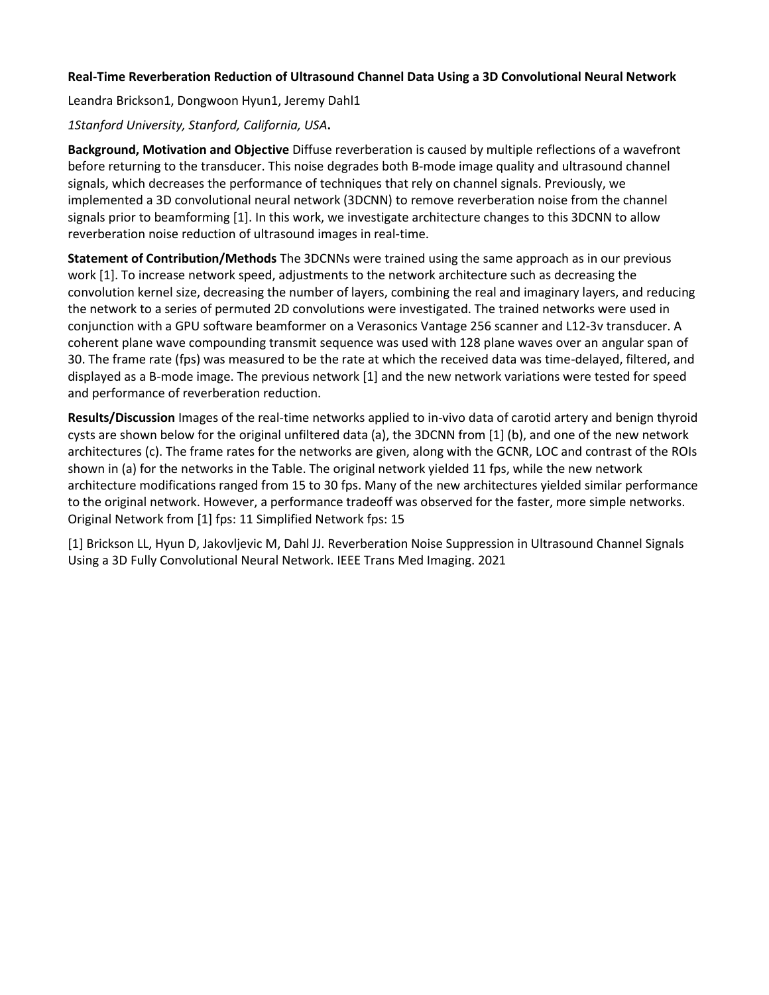# **Real-Time Reverberation Reduction of Ultrasound Channel Data Using a 3D Convolutional Neural Network**

Leandra Brickson1, Dongwoon Hyun1, Jeremy Dahl1

## *1Stanford University, Stanford, California, USA***.**

**Background, Motivation and Objective** Diffuse reverberation is caused by multiple reflections of a wavefront before returning to the transducer. This noise degrades both B-mode image quality and ultrasound channel signals, which decreases the performance of techniques that rely on channel signals. Previously, we implemented a 3D convolutional neural network (3DCNN) to remove reverberation noise from the channel signals prior to beamforming [1]. In this work, we investigate architecture changes to this 3DCNN to allow reverberation noise reduction of ultrasound images in real-time.

**Statement of Contribution/Methods** The 3DCNNs were trained using the same approach as in our previous work [1]. To increase network speed, adjustments to the network architecture such as decreasing the convolution kernel size, decreasing the number of layers, combining the real and imaginary layers, and reducing the network to a series of permuted 2D convolutions were investigated. The trained networks were used in conjunction with a GPU software beamformer on a Verasonics Vantage 256 scanner and L12-3v transducer. A coherent plane wave compounding transmit sequence was used with 128 plane waves over an angular span of 30. The frame rate (fps) was measured to be the rate at which the received data was time-delayed, filtered, and displayed as a B-mode image. The previous network [1] and the new network variations were tested for speed and performance of reverberation reduction.

**Results/Discussion** Images of the real-time networks applied to in-vivo data of carotid artery and benign thyroid cysts are shown below for the original unfiltered data (a), the 3DCNN from [1] (b), and one of the new network architectures (c). The frame rates for the networks are given, along with the GCNR, LOC and contrast of the ROIs shown in (a) for the networks in the Table. The original network yielded 11 fps, while the new network architecture modifications ranged from 15 to 30 fps. Many of the new architectures yielded similar performance to the original network. However, a performance tradeoff was observed for the faster, more simple networks. Original Network from [1] fps: 11 Simplified Network fps: 15

[1] Brickson LL, Hyun D, Jakovljevic M, Dahl JJ. Reverberation Noise Suppression in Ultrasound Channel Signals Using a 3D Fully Convolutional Neural Network. IEEE Trans Med Imaging. 2021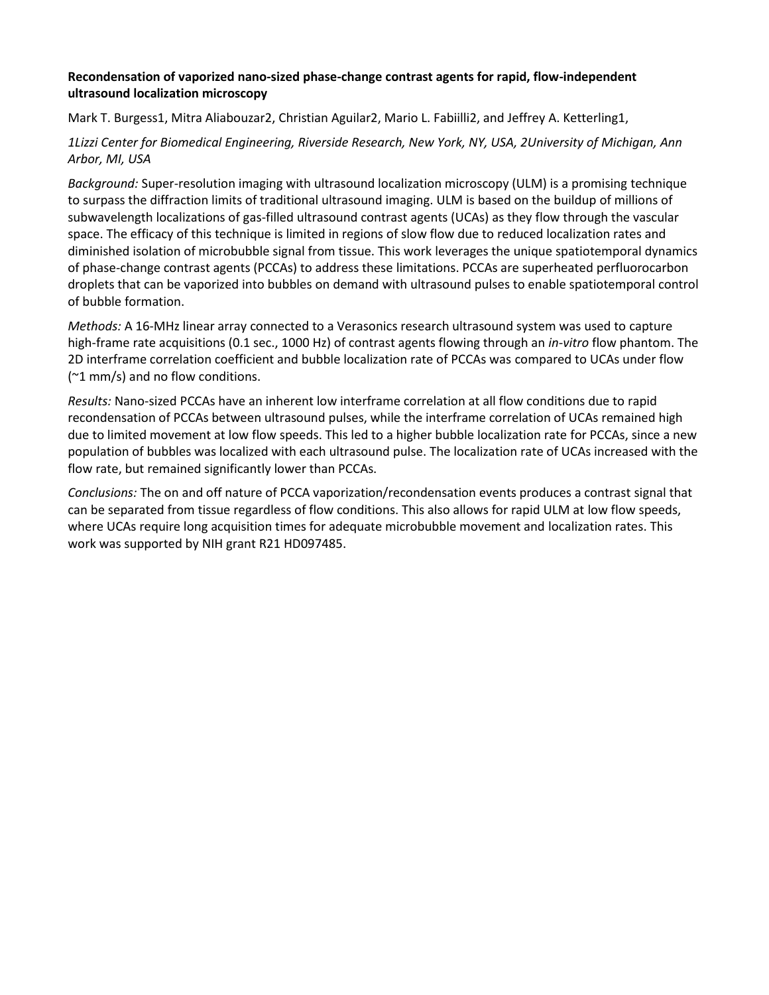# **Recondensation of vaporized nano-sized phase-change contrast agents for rapid, flow-independent ultrasound localization microscopy**

Mark T. Burgess1, Mitra Aliabouzar2, Christian Aguilar2, Mario L. Fabiilli2, and Jeffrey A. Ketterling1,

*1Lizzi Center for Biomedical Engineering, Riverside Research, New York, NY, USA, 2University of Michigan, Ann Arbor, MI, USA*

*Background:* Super-resolution imaging with ultrasound localization microscopy (ULM) is a promising technique to surpass the diffraction limits of traditional ultrasound imaging. ULM is based on the buildup of millions of subwavelength localizations of gas-filled ultrasound contrast agents (UCAs) as they flow through the vascular space. The efficacy of this technique is limited in regions of slow flow due to reduced localization rates and diminished isolation of microbubble signal from tissue. This work leverages the unique spatiotemporal dynamics of phase-change contrast agents (PCCAs) to address these limitations. PCCAs are superheated perfluorocarbon droplets that can be vaporized into bubbles on demand with ultrasound pulses to enable spatiotemporal control of bubble formation.

*Methods:* A 16-MHz linear array connected to a Verasonics research ultrasound system was used to capture high-frame rate acquisitions (0.1 sec., 1000 Hz) of contrast agents flowing through an *in-vitro* flow phantom. The 2D interframe correlation coefficient and bubble localization rate of PCCAs was compared to UCAs under flow (~1 mm/s) and no flow conditions.

*Results:* Nano-sized PCCAs have an inherent low interframe correlation at all flow conditions due to rapid recondensation of PCCAs between ultrasound pulses, while the interframe correlation of UCAs remained high due to limited movement at low flow speeds. This led to a higher bubble localization rate for PCCAs, since a new population of bubbles was localized with each ultrasound pulse. The localization rate of UCAs increased with the flow rate, but remained significantly lower than PCCAs.

*Conclusions:* The on and off nature of PCCA vaporization/recondensation events produces a contrast signal that can be separated from tissue regardless of flow conditions. This also allows for rapid ULM at low flow speeds, where UCAs require long acquisition times for adequate microbubble movement and localization rates. This work was supported by NIH grant R21 HD097485.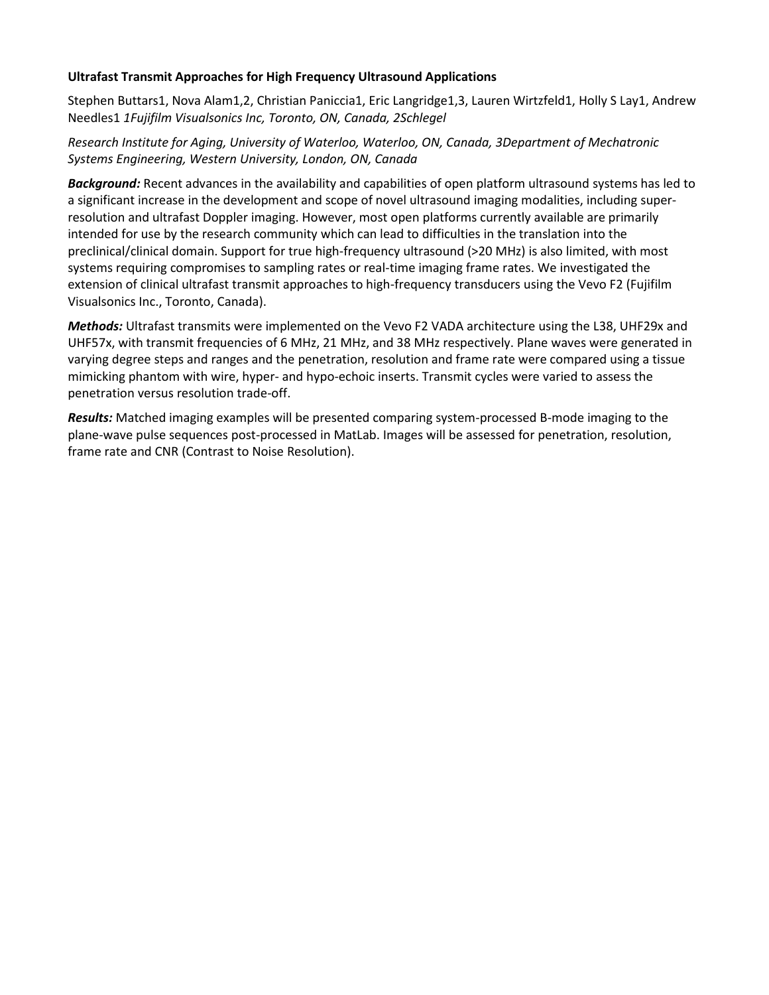# **Ultrafast Transmit Approaches for High Frequency Ultrasound Applications**

Stephen Buttars1, Nova Alam1,2, Christian Paniccia1, Eric Langridge1,3, Lauren Wirtzfeld1, Holly S Lay1, Andrew Needles1 *1Fujifilm Visualsonics Inc, Toronto, ON, Canada, 2Schlegel*

# *Research Institute for Aging, University of Waterloo, Waterloo, ON, Canada, 3Department of Mechatronic Systems Engineering, Western University, London, ON, Canada*

*Background:* Recent advances in the availability and capabilities of open platform ultrasound systems has led to a significant increase in the development and scope of novel ultrasound imaging modalities, including superresolution and ultrafast Doppler imaging. However, most open platforms currently available are primarily intended for use by the research community which can lead to difficulties in the translation into the preclinical/clinical domain. Support for true high-frequency ultrasound (>20 MHz) is also limited, with most systems requiring compromises to sampling rates or real-time imaging frame rates. We investigated the extension of clinical ultrafast transmit approaches to high-frequency transducers using the Vevo F2 (Fujifilm Visualsonics Inc., Toronto, Canada).

*Methods:* Ultrafast transmits were implemented on the Vevo F2 VADA architecture using the L38, UHF29x and UHF57x, with transmit frequencies of 6 MHz, 21 MHz, and 38 MHz respectively. Plane waves were generated in varying degree steps and ranges and the penetration, resolution and frame rate were compared using a tissue mimicking phantom with wire, hyper- and hypo-echoic inserts. Transmit cycles were varied to assess the penetration versus resolution trade-off.

*Results:* Matched imaging examples will be presented comparing system-processed B-mode imaging to the plane-wave pulse sequences post-processed in MatLab. Images will be assessed for penetration, resolution, frame rate and CNR (Contrast to Noise Resolution).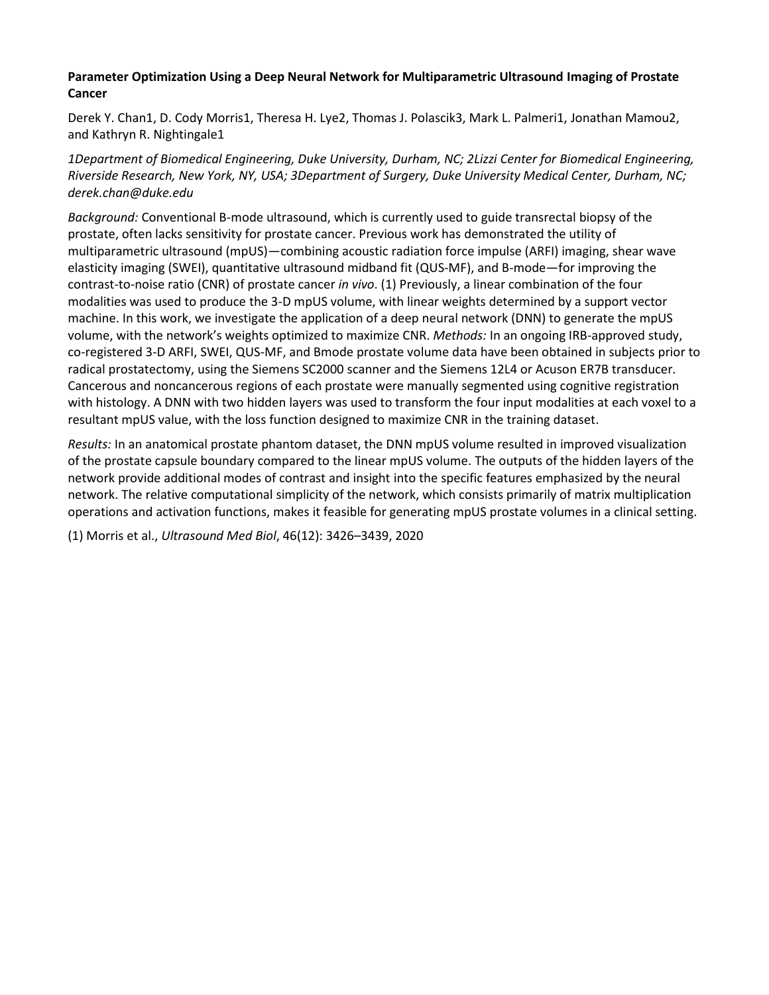# **Parameter Optimization Using a Deep Neural Network for Multiparametric Ultrasound Imaging of Prostate Cancer**

Derek Y. Chan1, D. Cody Morris1, Theresa H. Lye2, Thomas J. Polascik3, Mark L. Palmeri1, Jonathan Mamou2, and Kathryn R. Nightingale1

*1Department of Biomedical Engineering, Duke University, Durham, NC; 2Lizzi Center for Biomedical Engineering, Riverside Research, New York, NY, USA; 3Department of Surgery, Duke University Medical Center, Durham, NC; derek.chan@duke.edu*

*Background:* Conventional B-mode ultrasound, which is currently used to guide transrectal biopsy of the prostate, often lacks sensitivity for prostate cancer. Previous work has demonstrated the utility of multiparametric ultrasound (mpUS)—combining acoustic radiation force impulse (ARFI) imaging, shear wave elasticity imaging (SWEI), quantitative ultrasound midband fit (QUS-MF), and B-mode—for improving the contrast-to-noise ratio (CNR) of prostate cancer *in vivo*. (1) Previously, a linear combination of the four modalities was used to produce the 3-D mpUS volume, with linear weights determined by a support vector machine. In this work, we investigate the application of a deep neural network (DNN) to generate the mpUS volume, with the network's weights optimized to maximize CNR. *Methods:* In an ongoing IRB-approved study, co-registered 3-D ARFI, SWEI, QUS-MF, and Bmode prostate volume data have been obtained in subjects prior to radical prostatectomy, using the Siemens SC2000 scanner and the Siemens 12L4 or Acuson ER7B transducer. Cancerous and noncancerous regions of each prostate were manually segmented using cognitive registration with histology. A DNN with two hidden layers was used to transform the four input modalities at each voxel to a resultant mpUS value, with the loss function designed to maximize CNR in the training dataset.

*Results:* In an anatomical prostate phantom dataset, the DNN mpUS volume resulted in improved visualization of the prostate capsule boundary compared to the linear mpUS volume. The outputs of the hidden layers of the network provide additional modes of contrast and insight into the specific features emphasized by the neural network. The relative computational simplicity of the network, which consists primarily of matrix multiplication operations and activation functions, makes it feasible for generating mpUS prostate volumes in a clinical setting.

(1) Morris et al., *Ultrasound Med Biol*, 46(12): 3426–3439, 2020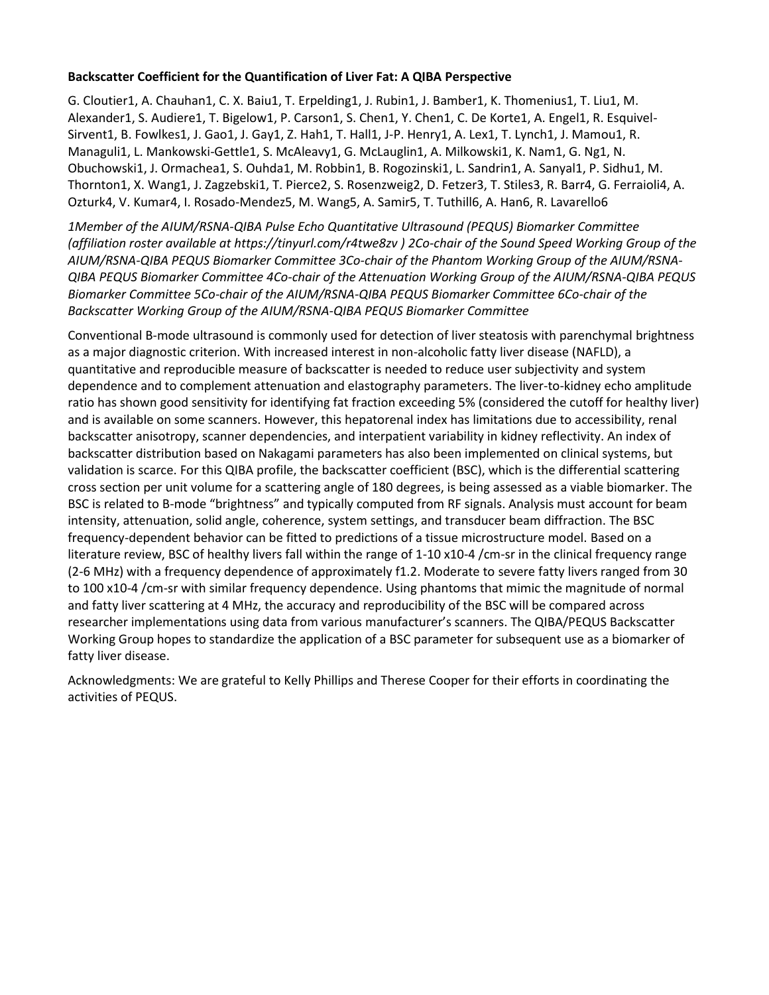# **Backscatter Coefficient for the Quantification of Liver Fat: A QIBA Perspective**

G. Cloutier1, A. Chauhan1, C. X. Baiu1, T. Erpelding1, J. Rubin1, J. Bamber1, K. Thomenius1, T. Liu1, M. Alexander1, S. Audiere1, T. Bigelow1, P. Carson1, S. Chen1, Y. Chen1, C. De Korte1, A. Engel1, R. Esquivel-Sirvent1, B. Fowlkes1, J. Gao1, J. Gay1, Z. Hah1, T. Hall1, J-P. Henry1, A. Lex1, T. Lynch1, J. Mamou1, R. Managuli1, L. Mankowski-Gettle1, S. McAleavy1, G. McLauglin1, A. Milkowski1, K. Nam1, G. Ng1, N. Obuchowski1, J. Ormachea1, S. Ouhda1, M. Robbin1, B. Rogozinski1, L. Sandrin1, A. Sanyal1, P. Sidhu1, M. Thornton1, X. Wang1, J. Zagzebski1, T. Pierce2, S. Rosenzweig2, D. Fetzer3, T. Stiles3, R. Barr4, G. Ferraioli4, A. Ozturk4, V. Kumar4, I. Rosado-Mendez5, M. Wang5, A. Samir5, T. Tuthill6, A. Han6, R. Lavarello6

*1Member of the AIUM/RSNA-QIBA Pulse Echo Quantitative Ultrasound (PEQUS) Biomarker Committee (affiliation roster available at https://tinyurl.com/r4twe8zv ) 2Co-chair of the Sound Speed Working Group of the AIUM/RSNA-QIBA PEQUS Biomarker Committee 3Co-chair of the Phantom Working Group of the AIUM/RSNA-QIBA PEQUS Biomarker Committee 4Co-chair of the Attenuation Working Group of the AIUM/RSNA-QIBA PEQUS Biomarker Committee 5Co-chair of the AIUM/RSNA-QIBA PEQUS Biomarker Committee 6Co-chair of the Backscatter Working Group of the AIUM/RSNA-QIBA PEQUS Biomarker Committee*

Conventional B-mode ultrasound is commonly used for detection of liver steatosis with parenchymal brightness as a major diagnostic criterion. With increased interest in non-alcoholic fatty liver disease (NAFLD), a quantitative and reproducible measure of backscatter is needed to reduce user subjectivity and system dependence and to complement attenuation and elastography parameters. The liver-to-kidney echo amplitude ratio has shown good sensitivity for identifying fat fraction exceeding 5% (considered the cutoff for healthy liver) and is available on some scanners. However, this hepatorenal index has limitations due to accessibility, renal backscatter anisotropy, scanner dependencies, and interpatient variability in kidney reflectivity. An index of backscatter distribution based on Nakagami parameters has also been implemented on clinical systems, but validation is scarce. For this QIBA profile, the backscatter coefficient (BSC), which is the differential scattering cross section per unit volume for a scattering angle of 180 degrees, is being assessed as a viable biomarker. The BSC is related to B-mode "brightness" and typically computed from RF signals. Analysis must account for beam intensity, attenuation, solid angle, coherence, system settings, and transducer beam diffraction. The BSC frequency-dependent behavior can be fitted to predictions of a tissue microstructure model. Based on a literature review, BSC of healthy livers fall within the range of 1-10 x10-4 /cm-sr in the clinical frequency range (2-6 MHz) with a frequency dependence of approximately f1.2. Moderate to severe fatty livers ranged from 30 to 100 x10-4 /cm-sr with similar frequency dependence. Using phantoms that mimic the magnitude of normal and fatty liver scattering at 4 MHz, the accuracy and reproducibility of the BSC will be compared across researcher implementations using data from various manufacturer's scanners. The QIBA/PEQUS Backscatter Working Group hopes to standardize the application of a BSC parameter for subsequent use as a biomarker of fatty liver disease.

Acknowledgments: We are grateful to Kelly Phillips and Therese Cooper for their efforts in coordinating the activities of PEQUS.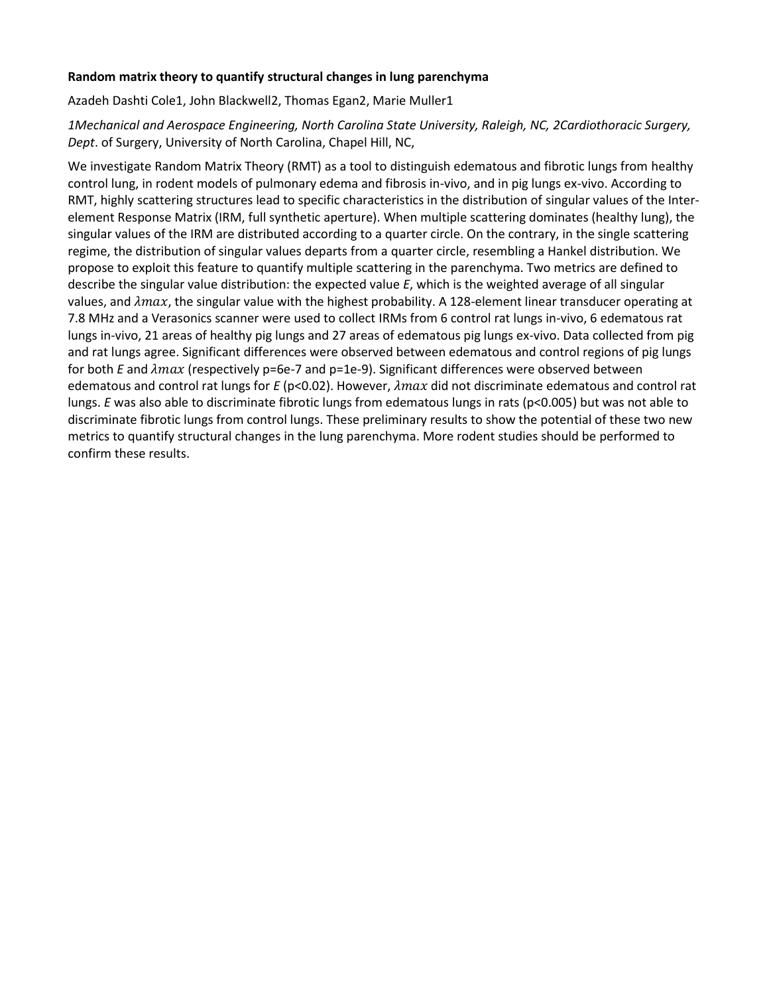## **Random matrix theory to quantify structural changes in lung parenchyma**

Azadeh Dashti Cole1, John Blackwell2, Thomas Egan2, Marie Muller1

*1Mechanical and Aerospace Engineering, North Carolina State University, Raleigh, NC, 2Cardiothoracic Surgery, Dept*. of Surgery, University of North Carolina, Chapel Hill, NC,

We investigate Random Matrix Theory (RMT) as a tool to distinguish edematous and fibrotic lungs from healthy control lung, in rodent models of pulmonary edema and fibrosis in-vivo, and in pig lungs ex-vivo. According to RMT, highly scattering structures lead to specific characteristics in the distribution of singular values of the Interelement Response Matrix (IRM, full synthetic aperture). When multiple scattering dominates (healthy lung), the singular values of the IRM are distributed according to a quarter circle. On the contrary, in the single scattering regime, the distribution of singular values departs from a quarter circle, resembling a Hankel distribution. We propose to exploit this feature to quantify multiple scattering in the parenchyma. Two metrics are defined to describe the singular value distribution: the expected value *E*, which is the weighted average of all singular values, and  $\lambda max$ , the singular value with the highest probability. A 128-element linear transducer operating at 7.8 MHz and a Verasonics scanner were used to collect IRMs from 6 control rat lungs in-vivo, 6 edematous rat lungs in-vivo, 21 areas of healthy pig lungs and 27 areas of edematous pig lungs ex-vivo. Data collected from pig and rat lungs agree. Significant differences were observed between edematous and control regions of pig lungs for both *E* and  $\lambda max$  (respectively p=6e-7 and p=1e-9). Significant differences were observed between edematous and control rat lungs for *E* (p<0.02). However, *λmax* did not discriminate edematous and control rat lungs. *E* was also able to discriminate fibrotic lungs from edematous lungs in rats (p<0.005) but was not able to discriminate fibrotic lungs from control lungs. These preliminary results to show the potential of these two new metrics to quantify structural changes in the lung parenchyma. More rodent studies should be performed to confirm these results.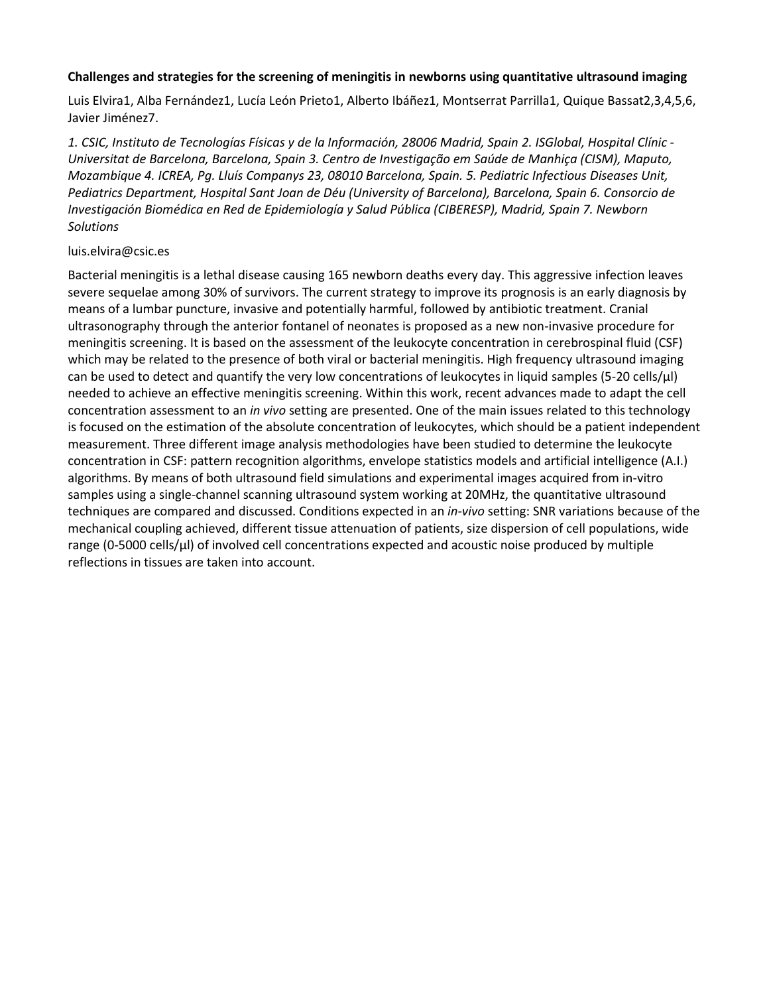## **Challenges and strategies for the screening of meningitis in newborns using quantitative ultrasound imaging**

Luis Elvira1, Alba Fernández1, Lucía León Prieto1, Alberto Ibáñez1, Montserrat Parrilla1, Quique Bassat2,3,4,5,6, Javier Jiménez7.

*1. CSIC, Instituto de Tecnologías Físicas y de la Información, 28006 Madrid, Spain 2. ISGlobal, Hospital Clínic - Universitat de Barcelona, Barcelona, Spain 3. Centro de Investigação em Saúde de Manhiça (CISM), Maputo, Mozambique 4. ICREA, Pg. Lluís Companys 23, 08010 Barcelona, Spain. 5. Pediatric Infectious Diseases Unit, Pediatrics Department, Hospital Sant Joan de Déu (University of Barcelona), Barcelona, Spain 6. Consorcio de Investigación Biomédica en Red de Epidemiología y Salud Pública (CIBERESP), Madrid, Spain 7. Newborn Solutions*

#### luis.elvira@csic.es

Bacterial meningitis is a lethal disease causing 165 newborn deaths every day. This aggressive infection leaves severe sequelae among 30% of survivors. The current strategy to improve its prognosis is an early diagnosis by means of a lumbar puncture, invasive and potentially harmful, followed by antibiotic treatment. Cranial ultrasonography through the anterior fontanel of neonates is proposed as a new non-invasive procedure for meningitis screening. It is based on the assessment of the leukocyte concentration in cerebrospinal fluid (CSF) which may be related to the presence of both viral or bacterial meningitis. High frequency ultrasound imaging can be used to detect and quantify the very low concentrations of leukocytes in liquid samples (5-20 cells/μl) needed to achieve an effective meningitis screening. Within this work, recent advances made to adapt the cell concentration assessment to an *in vivo* setting are presented. One of the main issues related to this technology is focused on the estimation of the absolute concentration of leukocytes, which should be a patient independent measurement. Three different image analysis methodologies have been studied to determine the leukocyte concentration in CSF: pattern recognition algorithms, envelope statistics models and artificial intelligence (A.I.) algorithms. By means of both ultrasound field simulations and experimental images acquired from in-vitro samples using a single-channel scanning ultrasound system working at 20MHz, the quantitative ultrasound techniques are compared and discussed. Conditions expected in an *in-vivo* setting: SNR variations because of the mechanical coupling achieved, different tissue attenuation of patients, size dispersion of cell populations, wide range (0-5000 cells/μl) of involved cell concentrations expected and acoustic noise produced by multiple reflections in tissues are taken into account.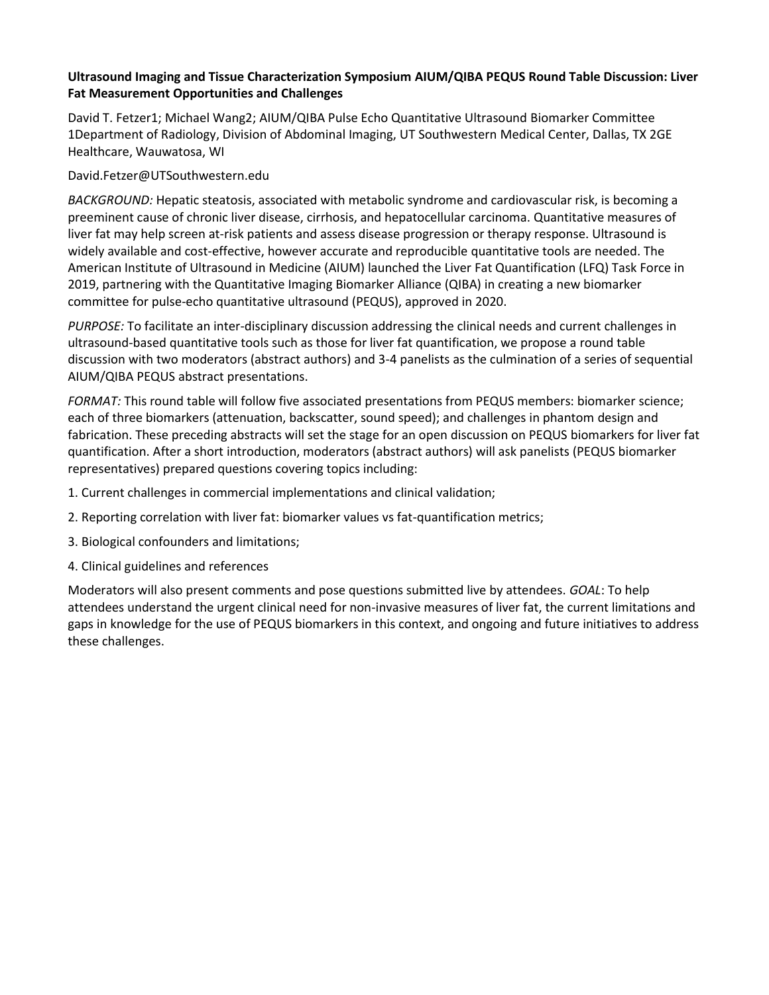# **Ultrasound Imaging and Tissue Characterization Symposium AIUM/QIBA PEQUS Round Table Discussion: Liver Fat Measurement Opportunities and Challenges**

David T. Fetzer1; Michael Wang2; AIUM/QIBA Pulse Echo Quantitative Ultrasound Biomarker Committee 1Department of Radiology, Division of Abdominal Imaging, UT Southwestern Medical Center, Dallas, TX 2GE Healthcare, Wauwatosa, WI

David.Fetzer@UTSouthwestern.edu

*BACKGROUND:* Hepatic steatosis, associated with metabolic syndrome and cardiovascular risk, is becoming a preeminent cause of chronic liver disease, cirrhosis, and hepatocellular carcinoma. Quantitative measures of liver fat may help screen at-risk patients and assess disease progression or therapy response. Ultrasound is widely available and cost-effective, however accurate and reproducible quantitative tools are needed. The American Institute of Ultrasound in Medicine (AIUM) launched the Liver Fat Quantification (LFQ) Task Force in 2019, partnering with the Quantitative Imaging Biomarker Alliance (QIBA) in creating a new biomarker committee for pulse-echo quantitative ultrasound (PEQUS), approved in 2020.

*PURPOSE:* To facilitate an inter-disciplinary discussion addressing the clinical needs and current challenges in ultrasound-based quantitative tools such as those for liver fat quantification, we propose a round table discussion with two moderators (abstract authors) and 3-4 panelists as the culmination of a series of sequential AIUM/QIBA PEQUS abstract presentations.

*FORMAT:* This round table will follow five associated presentations from PEQUS members: biomarker science; each of three biomarkers (attenuation, backscatter, sound speed); and challenges in phantom design and fabrication. These preceding abstracts will set the stage for an open discussion on PEQUS biomarkers for liver fat quantification. After a short introduction, moderators (abstract authors) will ask panelists (PEQUS biomarker representatives) prepared questions covering topics including:

- 1. Current challenges in commercial implementations and clinical validation;
- 2. Reporting correlation with liver fat: biomarker values vs fat-quantification metrics;
- 3. Biological confounders and limitations;
- 4. Clinical guidelines and references

Moderators will also present comments and pose questions submitted live by attendees. *GOAL*: To help attendees understand the urgent clinical need for non-invasive measures of liver fat, the current limitations and gaps in knowledge for the use of PEQUS biomarkers in this context, and ongoing and future initiatives to address these challenges.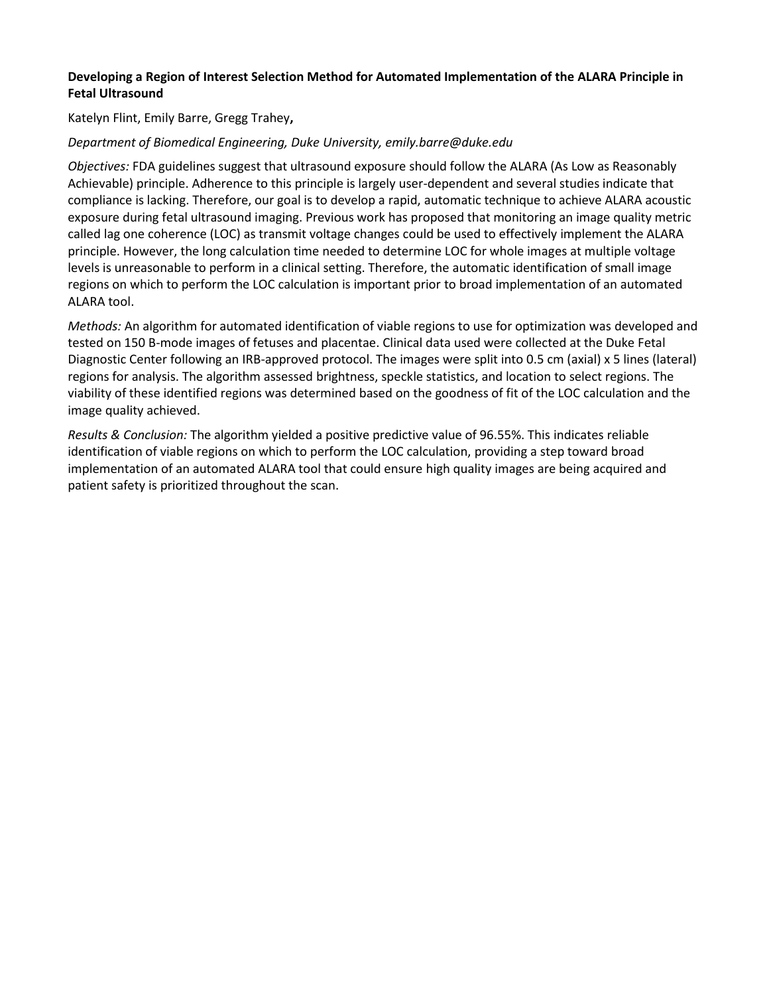# **Developing a Region of Interest Selection Method for Automated Implementation of the ALARA Principle in Fetal Ultrasound**

Katelyn Flint, Emily Barre, Gregg Trahey**,** 

# *Department of Biomedical Engineering, Duke University, emily.barre@duke.edu*

*Objectives:* FDA guidelines suggest that ultrasound exposure should follow the ALARA (As Low as Reasonably Achievable) principle. Adherence to this principle is largely user-dependent and several studies indicate that compliance is lacking. Therefore, our goal is to develop a rapid, automatic technique to achieve ALARA acoustic exposure during fetal ultrasound imaging. Previous work has proposed that monitoring an image quality metric called lag one coherence (LOC) as transmit voltage changes could be used to effectively implement the ALARA principle. However, the long calculation time needed to determine LOC for whole images at multiple voltage levels is unreasonable to perform in a clinical setting. Therefore, the automatic identification of small image regions on which to perform the LOC calculation is important prior to broad implementation of an automated ALARA tool.

*Methods:* An algorithm for automated identification of viable regions to use for optimization was developed and tested on 150 B-mode images of fetuses and placentae. Clinical data used were collected at the Duke Fetal Diagnostic Center following an IRB-approved protocol. The images were split into 0.5 cm (axial) x 5 lines (lateral) regions for analysis. The algorithm assessed brightness, speckle statistics, and location to select regions. The viability of these identified regions was determined based on the goodness of fit of the LOC calculation and the image quality achieved.

*Results & Conclusion:* The algorithm yielded a positive predictive value of 96.55%. This indicates reliable identification of viable regions on which to perform the LOC calculation, providing a step toward broad implementation of an automated ALARA tool that could ensure high quality images are being acquired and patient safety is prioritized throughout the scan.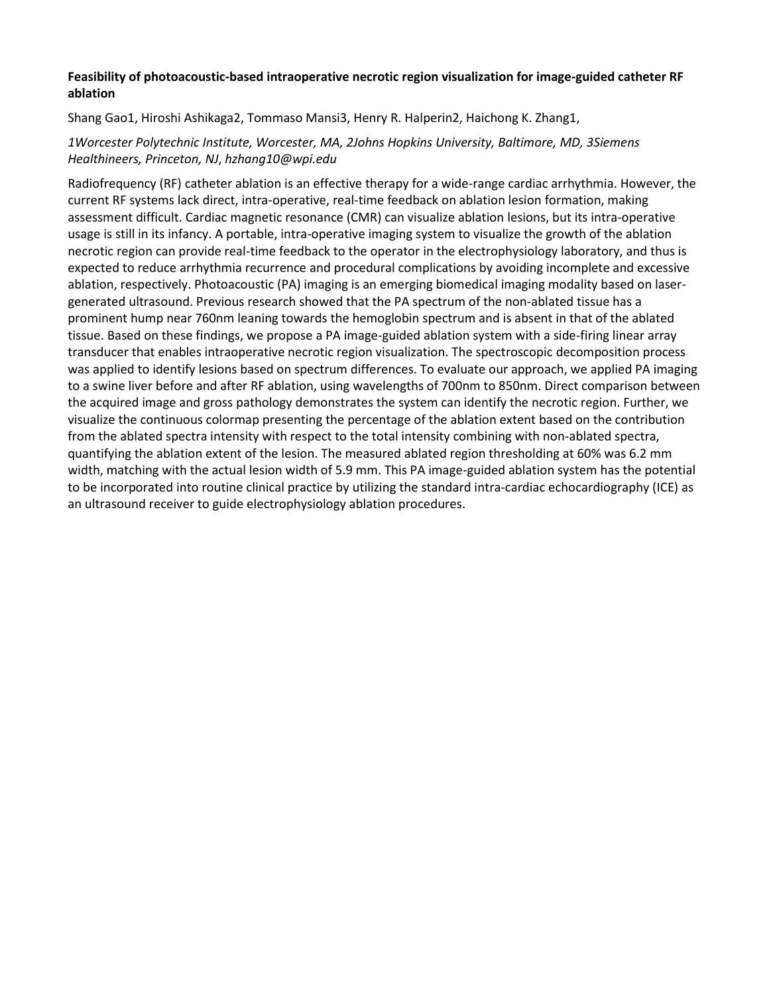# **Feasibility of photoacoustic-based intraoperative necrotic region visualization for image-guided catheter RF ablation**

# Shang Gao1, Hiroshi Ashikaga2, Tommaso Mansi3, Henry R. Halperin2, Haichong K. Zhang1,

# *1Worcester Polytechnic Institute, Worcester, MA, 2Johns Hopkins University, Baltimore, MD, 3Siemens Healthineers, Princeton, NJ*, *hzhang10@wpi.edu*

Radiofrequency (RF) catheter ablation is an effective therapy for a wide-range cardiac arrhythmia. However, the current RF systems lack direct, intra-operative, real-time feedback on ablation lesion formation, making assessment difficult. Cardiac magnetic resonance (CMR) can visualize ablation lesions, but its intra-operative usage is still in its infancy. A portable, intra-operative imaging system to visualize the growth of the ablation necrotic region can provide real-time feedback to the operator in the electrophysiology laboratory, and thus is expected to reduce arrhythmia recurrence and procedural complications by avoiding incomplete and excessive ablation, respectively. Photoacoustic (PA) imaging is an emerging biomedical imaging modality based on lasergenerated ultrasound. Previous research showed that the PA spectrum of the non-ablated tissue has a prominent hump near 760nm leaning towards the hemoglobin spectrum and is absent in that of the ablated tissue. Based on these findings, we propose a PA image-guided ablation system with a side-firing linear array transducer that enables intraoperative necrotic region visualization. The spectroscopic decomposition process was applied to identify lesions based on spectrum differences. To evaluate our approach, we applied PA imaging to a swine liver before and after RF ablation, using wavelengths of 700nm to 850nm. Direct comparison between the acquired image and gross pathology demonstrates the system can identify the necrotic region. Further, we visualize the continuous colormap presenting the percentage of the ablation extent based on the contribution from the ablated spectra intensity with respect to the total intensity combining with non-ablated spectra, quantifying the ablation extent of the lesion. The measured ablated region thresholding at 60% was 6.2 mm width, matching with the actual lesion width of 5.9 mm. This PA image-guided ablation system has the potential to be incorporated into routine clinical practice by utilizing the standard intra-cardiac echocardiography (ICE) as an ultrasound receiver to guide electrophysiology ablation procedures.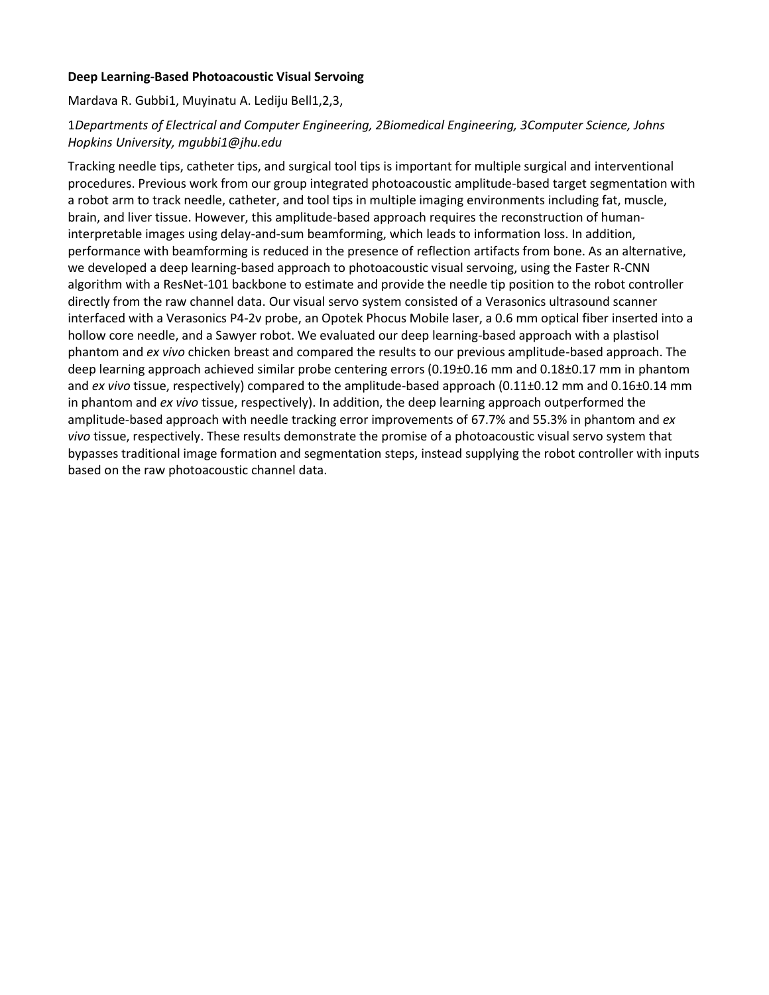## **Deep Learning-Based Photoacoustic Visual Servoing**

Mardava R. Gubbi1, Muyinatu A. Lediju Bell1,2,3,

# 1*Departments of Electrical and Computer Engineering, 2Biomedical Engineering, 3Computer Science, Johns Hopkins University, mgubbi1@jhu.edu*

Tracking needle tips, catheter tips, and surgical tool tips is important for multiple surgical and interventional procedures. Previous work from our group integrated photoacoustic amplitude-based target segmentation with a robot arm to track needle, catheter, and tool tips in multiple imaging environments including fat, muscle, brain, and liver tissue. However, this amplitude-based approach requires the reconstruction of humaninterpretable images using delay-and-sum beamforming, which leads to information loss. In addition, performance with beamforming is reduced in the presence of reflection artifacts from bone. As an alternative, we developed a deep learning-based approach to photoacoustic visual servoing, using the Faster R-CNN algorithm with a ResNet-101 backbone to estimate and provide the needle tip position to the robot controller directly from the raw channel data. Our visual servo system consisted of a Verasonics ultrasound scanner interfaced with a Verasonics P4-2v probe, an Opotek Phocus Mobile laser, a 0.6 mm optical fiber inserted into a hollow core needle, and a Sawyer robot. We evaluated our deep learning-based approach with a plastisol phantom and *ex vivo* chicken breast and compared the results to our previous amplitude-based approach. The deep learning approach achieved similar probe centering errors (0.19±0.16 mm and 0.18±0.17 mm in phantom and *ex vivo* tissue, respectively) compared to the amplitude-based approach (0.11±0.12 mm and 0.16±0.14 mm in phantom and *ex vivo* tissue, respectively). In addition, the deep learning approach outperformed the amplitude-based approach with needle tracking error improvements of 67.7% and 55.3% in phantom and *ex vivo* tissue, respectively. These results demonstrate the promise of a photoacoustic visual servo system that bypasses traditional image formation and segmentation steps, instead supplying the robot controller with inputs based on the raw photoacoustic channel data.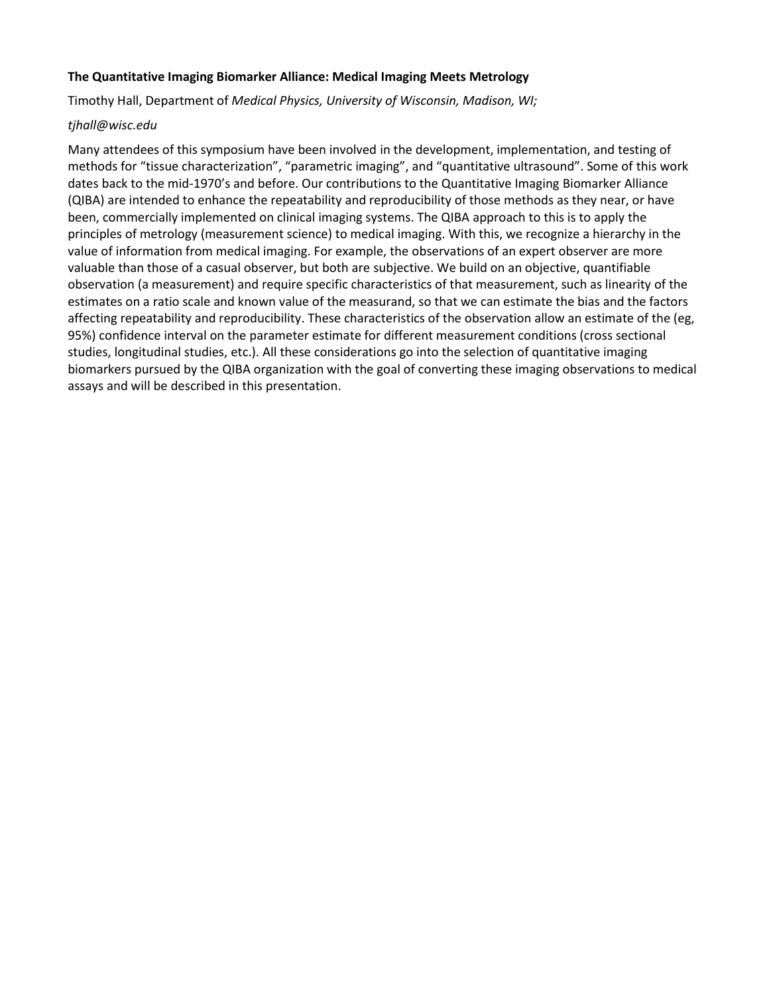## **The Quantitative Imaging Biomarker Alliance: Medical Imaging Meets Metrology**

Timothy Hall, Department of *Medical Physics, University of Wisconsin, Madison, WI;*

#### *tjhall@wisc.edu*

Many attendees of this symposium have been involved in the development, implementation, and testing of methods for "tissue characterization", "parametric imaging", and "quantitative ultrasound". Some of this work dates back to the mid-1970's and before. Our contributions to the Quantitative Imaging Biomarker Alliance (QIBA) are intended to enhance the repeatability and reproducibility of those methods as they near, or have been, commercially implemented on clinical imaging systems. The QIBA approach to this is to apply the principles of metrology (measurement science) to medical imaging. With this, we recognize a hierarchy in the value of information from medical imaging. For example, the observations of an expert observer are more valuable than those of a casual observer, but both are subjective. We build on an objective, quantifiable observation (a measurement) and require specific characteristics of that measurement, such as linearity of the estimates on a ratio scale and known value of the measurand, so that we can estimate the bias and the factors affecting repeatability and reproducibility. These characteristics of the observation allow an estimate of the (eg, 95%) confidence interval on the parameter estimate for different measurement conditions (cross sectional studies, longitudinal studies, etc.). All these considerations go into the selection of quantitative imaging biomarkers pursued by the QIBA organization with the goal of converting these imaging observations to medical assays and will be described in this presentation.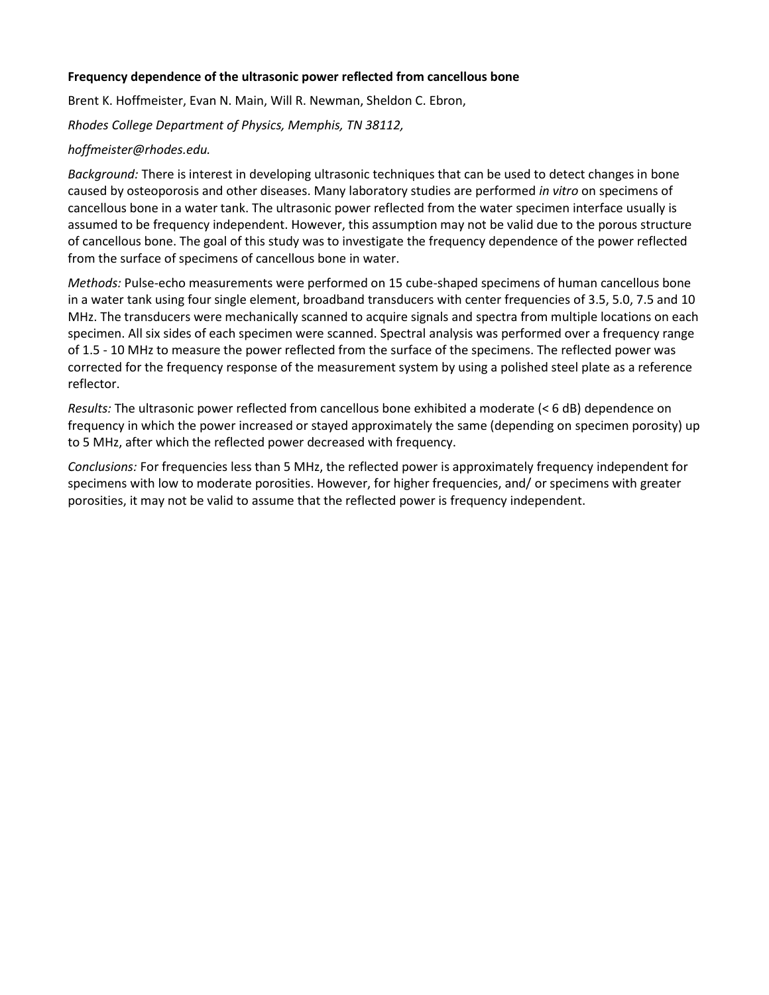## **Frequency dependence of the ultrasonic power reflected from cancellous bone**

Brent K. Hoffmeister, Evan N. Main, Will R. Newman, Sheldon C. Ebron,

*Rhodes College Department of Physics, Memphis, TN 38112,* 

#### *hoffmeister@rhodes.edu.*

*Background:* There is interest in developing ultrasonic techniques that can be used to detect changes in bone caused by osteoporosis and other diseases. Many laboratory studies are performed *in vitro* on specimens of cancellous bone in a water tank. The ultrasonic power reflected from the water specimen interface usually is assumed to be frequency independent. However, this assumption may not be valid due to the porous structure of cancellous bone. The goal of this study was to investigate the frequency dependence of the power reflected from the surface of specimens of cancellous bone in water.

*Methods:* Pulse-echo measurements were performed on 15 cube-shaped specimens of human cancellous bone in a water tank using four single element, broadband transducers with center frequencies of 3.5, 5.0, 7.5 and 10 MHz. The transducers were mechanically scanned to acquire signals and spectra from multiple locations on each specimen. All six sides of each specimen were scanned. Spectral analysis was performed over a frequency range of 1.5 - 10 MHz to measure the power reflected from the surface of the specimens. The reflected power was corrected for the frequency response of the measurement system by using a polished steel plate as a reference reflector.

*Results:* The ultrasonic power reflected from cancellous bone exhibited a moderate (< 6 dB) dependence on frequency in which the power increased or stayed approximately the same (depending on specimen porosity) up to 5 MHz, after which the reflected power decreased with frequency.

*Conclusions:* For frequencies less than 5 MHz, the reflected power is approximately frequency independent for specimens with low to moderate porosities. However, for higher frequencies, and/ or specimens with greater porosities, it may not be valid to assume that the reflected power is frequency independent.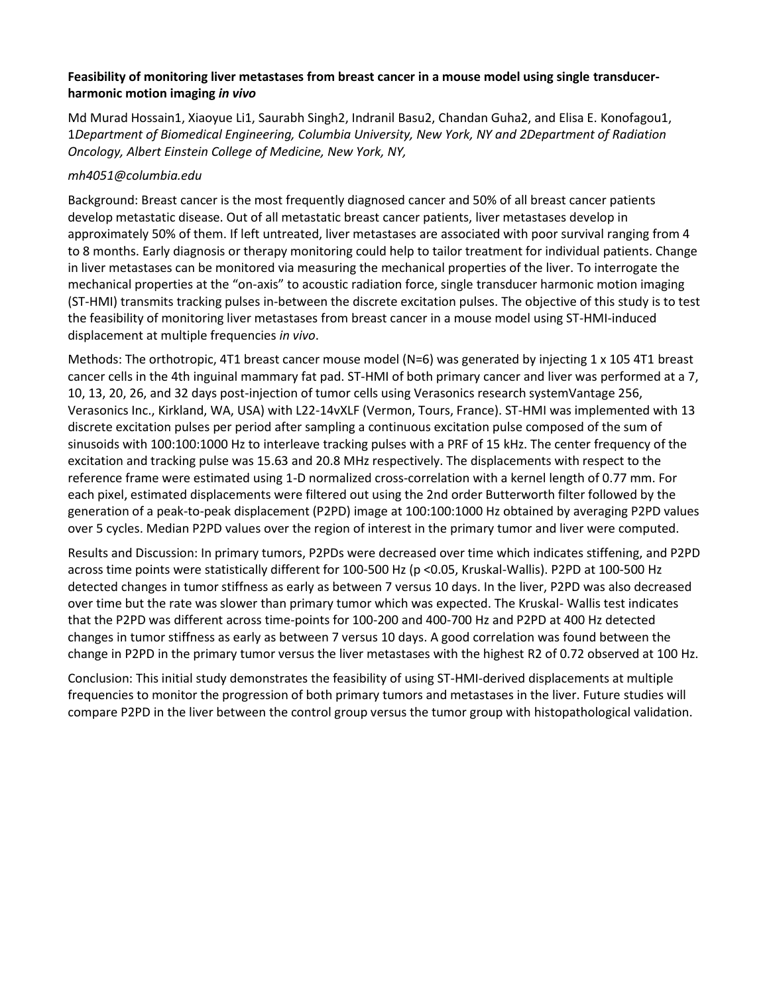# **Feasibility of monitoring liver metastases from breast cancer in a mouse model using single transducerharmonic motion imaging** *in vivo*

Md Murad Hossain1, Xiaoyue Li1, Saurabh Singh2, Indranil Basu2, Chandan Guha2, and Elisa E. Konofagou1, 1*Department of Biomedical Engineering, Columbia University, New York, NY and 2Department of Radiation Oncology, Albert Einstein College of Medicine, New York, NY,*

## *mh4051@columbia.edu*

Background: Breast cancer is the most frequently diagnosed cancer and 50% of all breast cancer patients develop metastatic disease. Out of all metastatic breast cancer patients, liver metastases develop in approximately 50% of them. If left untreated, liver metastases are associated with poor survival ranging from 4 to 8 months. Early diagnosis or therapy monitoring could help to tailor treatment for individual patients. Change in liver metastases can be monitored via measuring the mechanical properties of the liver. To interrogate the mechanical properties at the "on-axis" to acoustic radiation force, single transducer harmonic motion imaging (ST-HMI) transmits tracking pulses in-between the discrete excitation pulses. The objective of this study is to test the feasibility of monitoring liver metastases from breast cancer in a mouse model using ST-HMI-induced displacement at multiple frequencies *in vivo*.

Methods: The orthotropic, 4T1 breast cancer mouse model (N=6) was generated by injecting  $1 \times 105$  4T1 breast cancer cells in the 4th inguinal mammary fat pad. ST-HMI of both primary cancer and liver was performed at a 7, 10, 13, 20, 26, and 32 days post-injection of tumor cells using Verasonics research systemVantage 256, Verasonics Inc., Kirkland, WA, USA) with L22-14vXLF (Vermon, Tours, France). ST-HMI was implemented with 13 discrete excitation pulses per period after sampling a continuous excitation pulse composed of the sum of sinusoids with 100:100:1000 Hz to interleave tracking pulses with a PRF of 15 kHz. The center frequency of the excitation and tracking pulse was 15.63 and 20.8 MHz respectively. The displacements with respect to the reference frame were estimated using 1-D normalized cross-correlation with a kernel length of 0.77 mm. For each pixel, estimated displacements were filtered out using the 2nd order Butterworth filter followed by the generation of a peak-to-peak displacement (P2PD) image at 100:100:1000 Hz obtained by averaging P2PD values over 5 cycles. Median P2PD values over the region of interest in the primary tumor and liver were computed.

Results and Discussion: In primary tumors, P2PDs were decreased over time which indicates stiffening, and P2PD across time points were statistically different for 100-500 Hz (p <0.05, Kruskal-Wallis). P2PD at 100-500 Hz detected changes in tumor stiffness as early as between 7 versus 10 days. In the liver, P2PD was also decreased over time but the rate was slower than primary tumor which was expected. The Kruskal- Wallis test indicates that the P2PD was different across time-points for 100-200 and 400-700 Hz and P2PD at 400 Hz detected changes in tumor stiffness as early as between 7 versus 10 days. A good correlation was found between the change in P2PD in the primary tumor versus the liver metastases with the highest R2 of 0.72 observed at 100 Hz.

Conclusion: This initial study demonstrates the feasibility of using ST-HMI-derived displacements at multiple frequencies to monitor the progression of both primary tumors and metastases in the liver. Future studies will compare P2PD in the liver between the control group versus the tumor group with histopathological validation.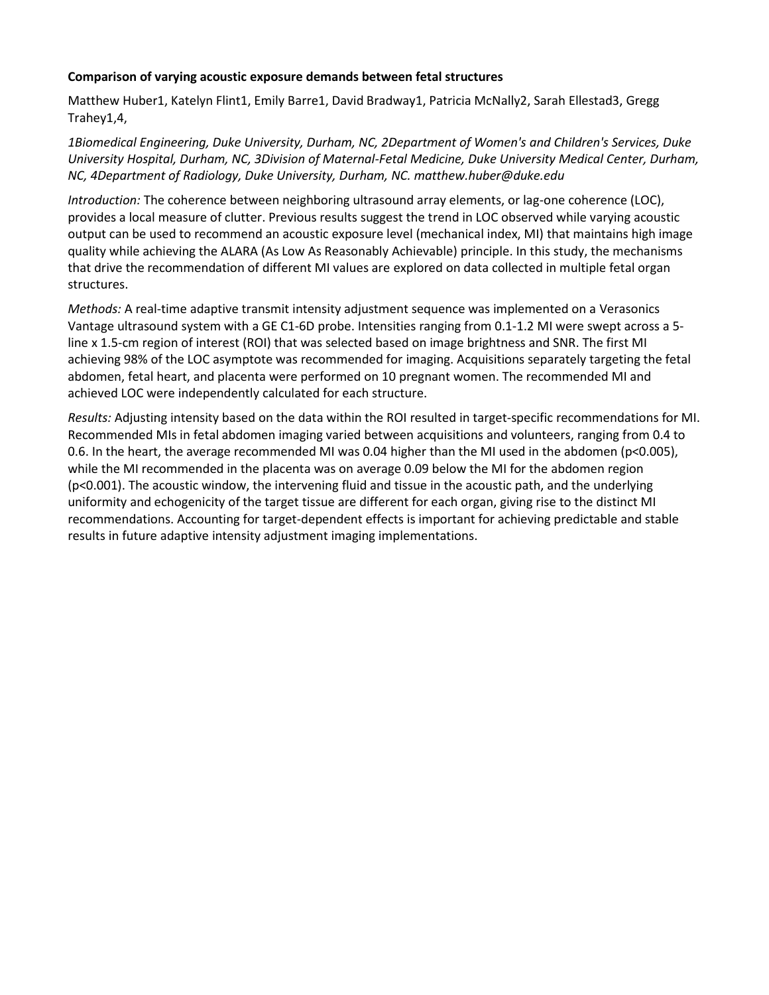# **Comparison of varying acoustic exposure demands between fetal structures**

Matthew Huber1, Katelyn Flint1, Emily Barre1, David Bradway1, Patricia McNally2, Sarah Ellestad3, Gregg Trahey1,4,

*1Biomedical Engineering, Duke University, Durham, NC, 2Department of Women's and Children's Services, Duke University Hospital, Durham, NC, 3Division of Maternal-Fetal Medicine, Duke University Medical Center, Durham, NC, 4Department of Radiology, Duke University, Durham, NC. matthew.huber@duke.edu*

*Introduction:* The coherence between neighboring ultrasound array elements, or lag-one coherence (LOC), provides a local measure of clutter. Previous results suggest the trend in LOC observed while varying acoustic output can be used to recommend an acoustic exposure level (mechanical index, MI) that maintains high image quality while achieving the ALARA (As Low As Reasonably Achievable) principle. In this study, the mechanisms that drive the recommendation of different MI values are explored on data collected in multiple fetal organ structures.

*Methods:* A real-time adaptive transmit intensity adjustment sequence was implemented on a Verasonics Vantage ultrasound system with a GE C1-6D probe. Intensities ranging from 0.1-1.2 MI were swept across a 5 line x 1.5-cm region of interest (ROI) that was selected based on image brightness and SNR. The first MI achieving 98% of the LOC asymptote was recommended for imaging. Acquisitions separately targeting the fetal abdomen, fetal heart, and placenta were performed on 10 pregnant women. The recommended MI and achieved LOC were independently calculated for each structure.

*Results:* Adjusting intensity based on the data within the ROI resulted in target-specific recommendations for MI. Recommended MIs in fetal abdomen imaging varied between acquisitions and volunteers, ranging from 0.4 to 0.6. In the heart, the average recommended MI was 0.04 higher than the MI used in the abdomen (p<0.005), while the MI recommended in the placenta was on average 0.09 below the MI for the abdomen region (p<0.001). The acoustic window, the intervening fluid and tissue in the acoustic path, and the underlying uniformity and echogenicity of the target tissue are different for each organ, giving rise to the distinct MI recommendations. Accounting for target-dependent effects is important for achieving predictable and stable results in future adaptive intensity adjustment imaging implementations.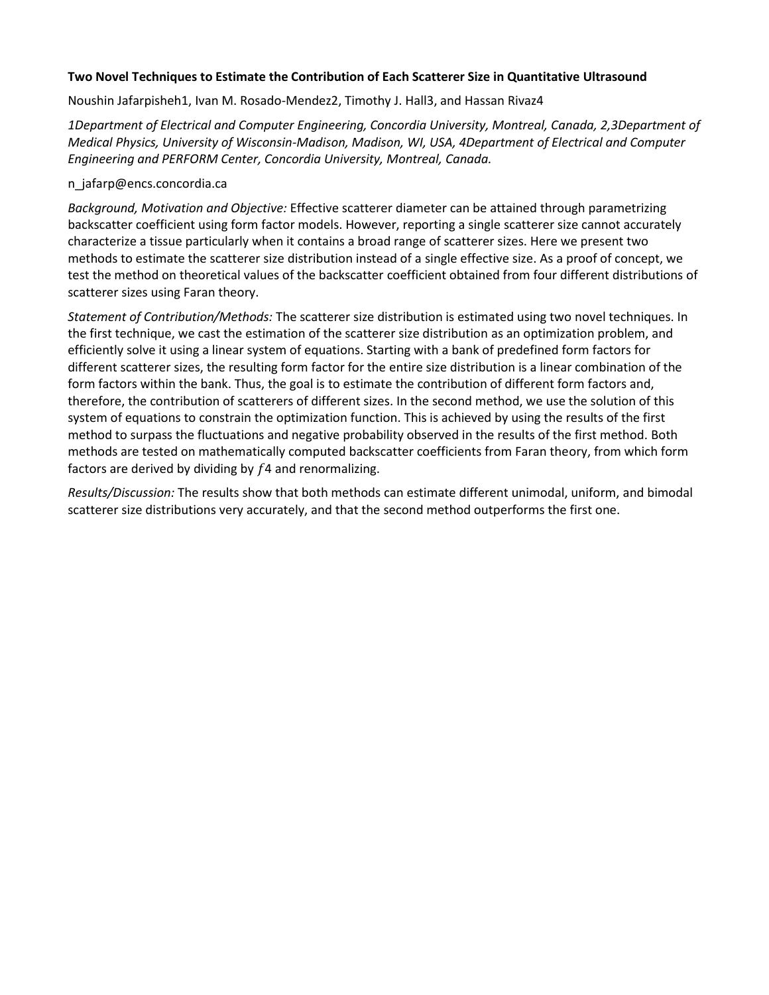# **Two Novel Techniques to Estimate the Contribution of Each Scatterer Size in Quantitative Ultrasound**

Noushin Jafarpisheh1, Ivan M. Rosado-Mendez2, Timothy J. Hall3, and Hassan Rivaz4

*1Department of Electrical and Computer Engineering, Concordia University, Montreal, Canada, 2,3Department of Medical Physics, University of Wisconsin-Madison, Madison, WI, USA, 4Department of Electrical and Computer Engineering and PERFORM Center, Concordia University, Montreal, Canada.* 

# n\_jafarp@encs.concordia.ca

*Background, Motivation and Objective:* Effective scatterer diameter can be attained through parametrizing backscatter coefficient using form factor models. However, reporting a single scatterer size cannot accurately characterize a tissue particularly when it contains a broad range of scatterer sizes. Here we present two methods to estimate the scatterer size distribution instead of a single effective size. As a proof of concept, we test the method on theoretical values of the backscatter coefficient obtained from four different distributions of scatterer sizes using Faran theory.

*Statement of Contribution/Methods:* The scatterer size distribution is estimated using two novel techniques. In the first technique, we cast the estimation of the scatterer size distribution as an optimization problem, and efficiently solve it using a linear system of equations. Starting with a bank of predefined form factors for different scatterer sizes, the resulting form factor for the entire size distribution is a linear combination of the form factors within the bank. Thus, the goal is to estimate the contribution of different form factors and, therefore, the contribution of scatterers of different sizes. In the second method, we use the solution of this system of equations to constrain the optimization function. This is achieved by using the results of the first method to surpass the fluctuations and negative probability observed in the results of the first method. Both methods are tested on mathematically computed backscatter coefficients from Faran theory, from which form factors are derived by dividing by  $f$ 4 and renormalizing.

*Results/Discussion:* The results show that both methods can estimate different unimodal, uniform, and bimodal scatterer size distributions very accurately, and that the second method outperforms the first one.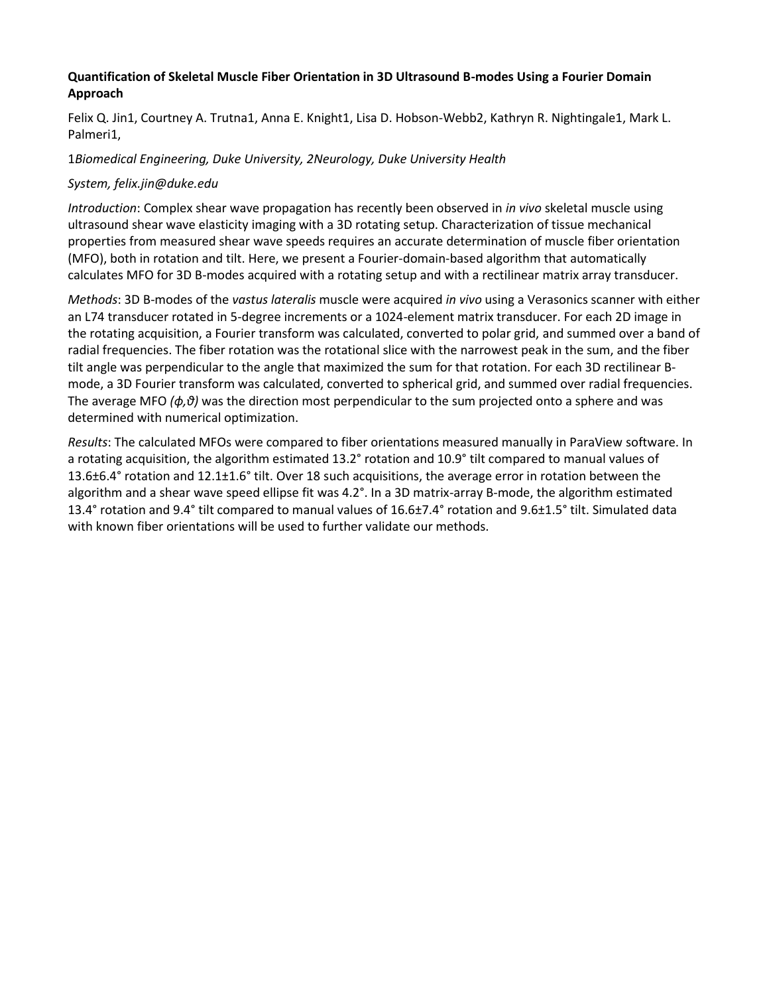# **Quantification of Skeletal Muscle Fiber Orientation in 3D Ultrasound B-modes Using a Fourier Domain Approach**

Felix Q. Jin1, Courtney A. Trutna1, Anna E. Knight1, Lisa D. Hobson-Webb2, Kathryn R. Nightingale1, Mark L. Palmeri1,

# 1*Biomedical Engineering, Duke University, 2Neurology, Duke University Health*

# *System, felix.jin@duke.edu*

*Introduction*: Complex shear wave propagation has recently been observed in *in vivo* skeletal muscle using ultrasound shear wave elasticity imaging with a 3D rotating setup. Characterization of tissue mechanical properties from measured shear wave speeds requires an accurate determination of muscle fiber orientation (MFO), both in rotation and tilt. Here, we present a Fourier-domain-based algorithm that automatically calculates MFO for 3D B-modes acquired with a rotating setup and with a rectilinear matrix array transducer.

*Methods*: 3D B-modes of the *vastus lateralis* muscle were acquired *in vivo* using a Verasonics scanner with either an L74 transducer rotated in 5-degree increments or a 1024-element matrix transducer. For each 2D image in the rotating acquisition, a Fourier transform was calculated, converted to polar grid, and summed over a band of radial frequencies. The fiber rotation was the rotational slice with the narrowest peak in the sum, and the fiber tilt angle was perpendicular to the angle that maximized the sum for that rotation. For each 3D rectilinear Bmode, a 3D Fourier transform was calculated, converted to spherical grid, and summed over radial frequencies. The average MFO *(ϕ,θ)* was the direction most perpendicular to the sum projected onto a sphere and was determined with numerical optimization.

*Results*: The calculated MFOs were compared to fiber orientations measured manually in ParaView software. In a rotating acquisition, the algorithm estimated 13.2° rotation and 10.9° tilt compared to manual values of 13.6±6.4° rotation and 12.1±1.6° tilt. Over 18 such acquisitions, the average error in rotation between the algorithm and a shear wave speed ellipse fit was 4.2°. In a 3D matrix-array B-mode, the algorithm estimated 13.4° rotation and 9.4° tilt compared to manual values of 16.6±7.4° rotation and 9.6±1.5° tilt. Simulated data with known fiber orientations will be used to further validate our methods.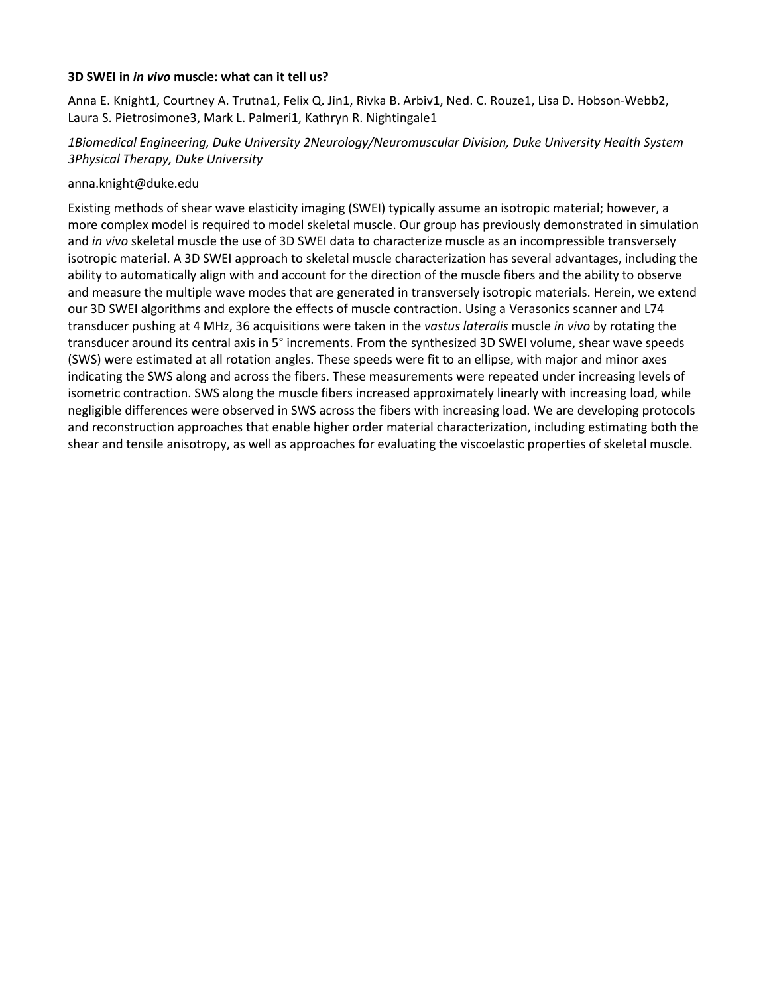#### **3D SWEI in** *in vivo* **muscle: what can it tell us?**

Anna E. Knight1, Courtney A. Trutna1, Felix Q. Jin1, Rivka B. Arbiv1, Ned. C. Rouze1, Lisa D. Hobson-Webb2, Laura S. Pietrosimone3, Mark L. Palmeri1, Kathryn R. Nightingale1

# *1Biomedical Engineering, Duke University 2Neurology/Neuromuscular Division, Duke University Health System 3Physical Therapy, Duke University*

#### anna.knight@duke.edu

Existing methods of shear wave elasticity imaging (SWEI) typically assume an isotropic material; however, a more complex model is required to model skeletal muscle. Our group has previously demonstrated in simulation and *in vivo* skeletal muscle the use of 3D SWEI data to characterize muscle as an incompressible transversely isotropic material. A 3D SWEI approach to skeletal muscle characterization has several advantages, including the ability to automatically align with and account for the direction of the muscle fibers and the ability to observe and measure the multiple wave modes that are generated in transversely isotropic materials. Herein, we extend our 3D SWEI algorithms and explore the effects of muscle contraction. Using a Verasonics scanner and L74 transducer pushing at 4 MHz, 36 acquisitions were taken in the *vastus lateralis* muscle *in vivo* by rotating the transducer around its central axis in 5° increments. From the synthesized 3D SWEI volume, shear wave speeds (SWS) were estimated at all rotation angles. These speeds were fit to an ellipse, with major and minor axes indicating the SWS along and across the fibers. These measurements were repeated under increasing levels of isometric contraction. SWS along the muscle fibers increased approximately linearly with increasing load, while negligible differences were observed in SWS across the fibers with increasing load. We are developing protocols and reconstruction approaches that enable higher order material characterization, including estimating both the shear and tensile anisotropy, as well as approaches for evaluating the viscoelastic properties of skeletal muscle.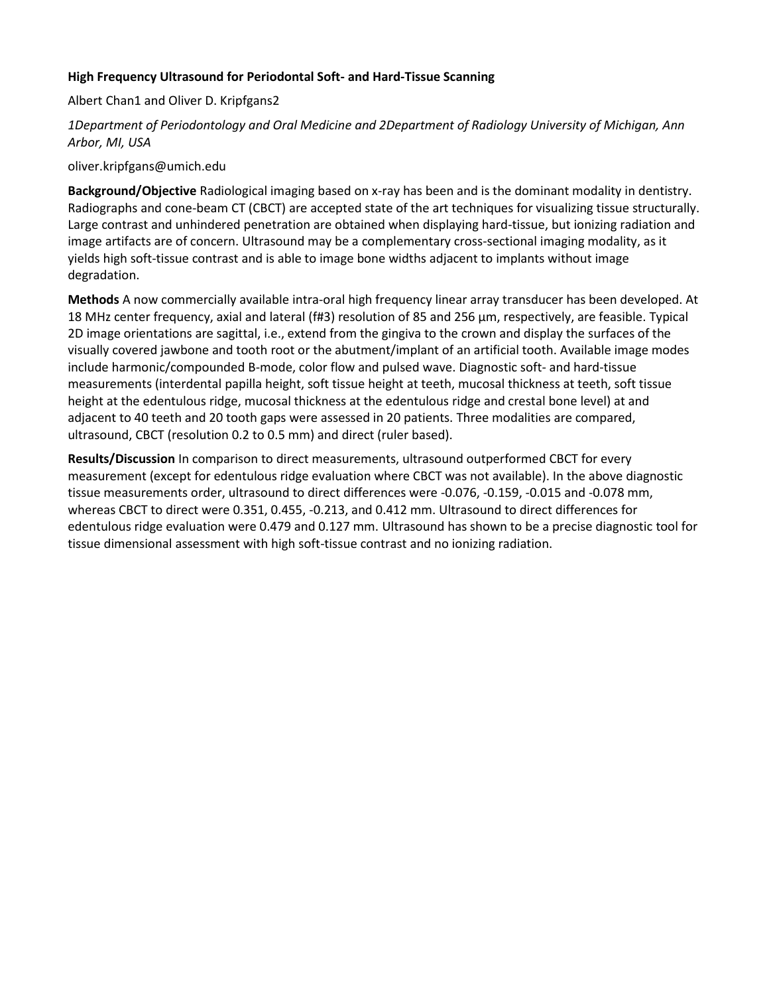# **High Frequency Ultrasound for Periodontal Soft- and Hard-Tissue Scanning**

Albert Chan1 and Oliver D. Kripfgans2

# *1Department of Periodontology and Oral Medicine and 2Department of Radiology University of Michigan, Ann Arbor, MI, USA*

## oliver.kripfgans@umich.edu

**Background/Objective** Radiological imaging based on x-ray has been and is the dominant modality in dentistry. Radiographs and cone-beam CT (CBCT) are accepted state of the art techniques for visualizing tissue structurally. Large contrast and unhindered penetration are obtained when displaying hard-tissue, but ionizing radiation and image artifacts are of concern. Ultrasound may be a complementary cross-sectional imaging modality, as it yields high soft-tissue contrast and is able to image bone widths adjacent to implants without image degradation.

**Methods** A now commercially available intra-oral high frequency linear array transducer has been developed. At 18 MHz center frequency, axial and lateral (f#3) resolution of 85 and 256 μm, respectively, are feasible. Typical 2D image orientations are sagittal, i.e., extend from the gingiva to the crown and display the surfaces of the visually covered jawbone and tooth root or the abutment/implant of an artificial tooth. Available image modes include harmonic/compounded B-mode, color flow and pulsed wave. Diagnostic soft- and hard-tissue measurements (interdental papilla height, soft tissue height at teeth, mucosal thickness at teeth, soft tissue height at the edentulous ridge, mucosal thickness at the edentulous ridge and crestal bone level) at and adjacent to 40 teeth and 20 tooth gaps were assessed in 20 patients. Three modalities are compared, ultrasound, CBCT (resolution 0.2 to 0.5 mm) and direct (ruler based).

**Results/Discussion** In comparison to direct measurements, ultrasound outperformed CBCT for every measurement (except for edentulous ridge evaluation where CBCT was not available). In the above diagnostic tissue measurements order, ultrasound to direct differences were -0.076, -0.159, -0.015 and -0.078 mm, whereas CBCT to direct were 0.351, 0.455, -0.213, and 0.412 mm. Ultrasound to direct differences for edentulous ridge evaluation were 0.479 and 0.127 mm. Ultrasound has shown to be a precise diagnostic tool for tissue dimensional assessment with high soft-tissue contrast and no ionizing radiation.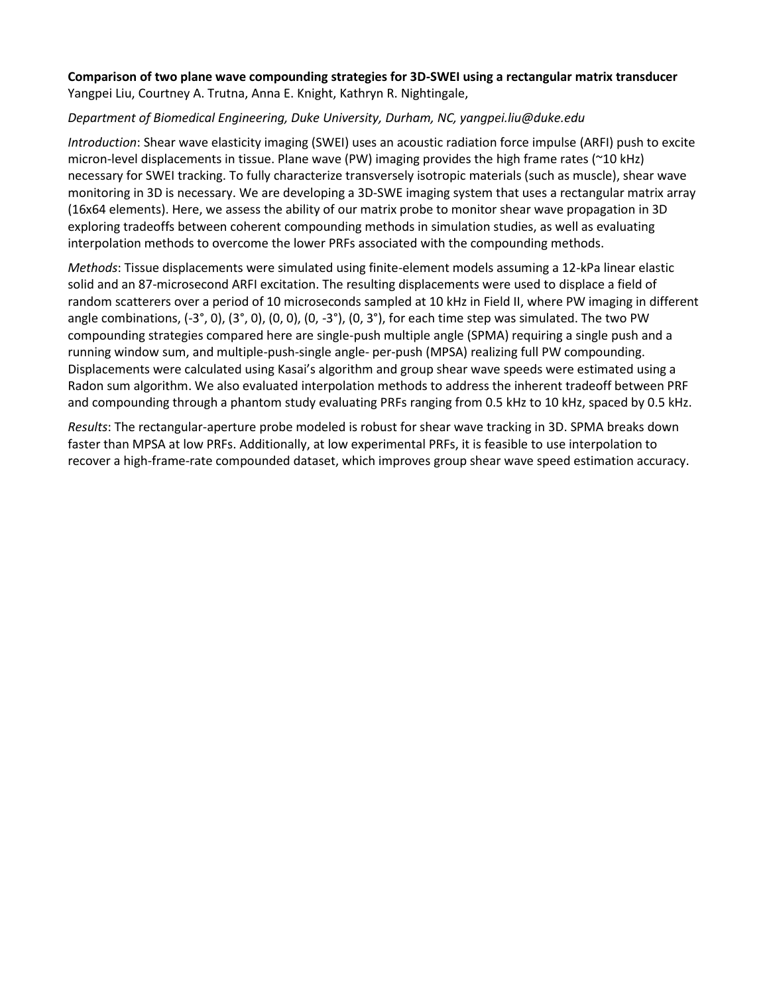# **Comparison of two plane wave compounding strategies for 3D-SWEI using a rectangular matrix transducer** Yangpei Liu, Courtney A. Trutna, Anna E. Knight, Kathryn R. Nightingale,

# *Department of Biomedical Engineering, Duke University, Durham, NC, yangpei.liu@duke.edu*

*Introduction*: Shear wave elasticity imaging (SWEI) uses an acoustic radiation force impulse (ARFI) push to excite micron-level displacements in tissue. Plane wave (PW) imaging provides the high frame rates (~10 kHz) necessary for SWEI tracking. To fully characterize transversely isotropic materials (such as muscle), shear wave monitoring in 3D is necessary. We are developing a 3D-SWE imaging system that uses a rectangular matrix array (16x64 elements). Here, we assess the ability of our matrix probe to monitor shear wave propagation in 3D exploring tradeoffs between coherent compounding methods in simulation studies, as well as evaluating interpolation methods to overcome the lower PRFs associated with the compounding methods.

*Methods*: Tissue displacements were simulated using finite-element models assuming a 12-kPa linear elastic solid and an 87-microsecond ARFI excitation. The resulting displacements were used to displace a field of random scatterers over a period of 10 microseconds sampled at 10 kHz in Field II, where PW imaging in different angle combinations,  $(-3^\circ, 0)$ ,  $(3^\circ, 0)$ ,  $(0, 0)$ ,  $(0, -3^\circ)$ ,  $(0, 3^\circ)$ , for each time step was simulated. The two PW compounding strategies compared here are single-push multiple angle (SPMA) requiring a single push and a running window sum, and multiple-push-single angle- per-push (MPSA) realizing full PW compounding. Displacements were calculated using Kasai's algorithm and group shear wave speeds were estimated using a Radon sum algorithm. We also evaluated interpolation methods to address the inherent tradeoff between PRF and compounding through a phantom study evaluating PRFs ranging from 0.5 kHz to 10 kHz, spaced by 0.5 kHz.

*Results*: The rectangular-aperture probe modeled is robust for shear wave tracking in 3D. SPMA breaks down faster than MPSA at low PRFs. Additionally, at low experimental PRFs, it is feasible to use interpolation to recover a high-frame-rate compounded dataset, which improves group shear wave speed estimation accuracy.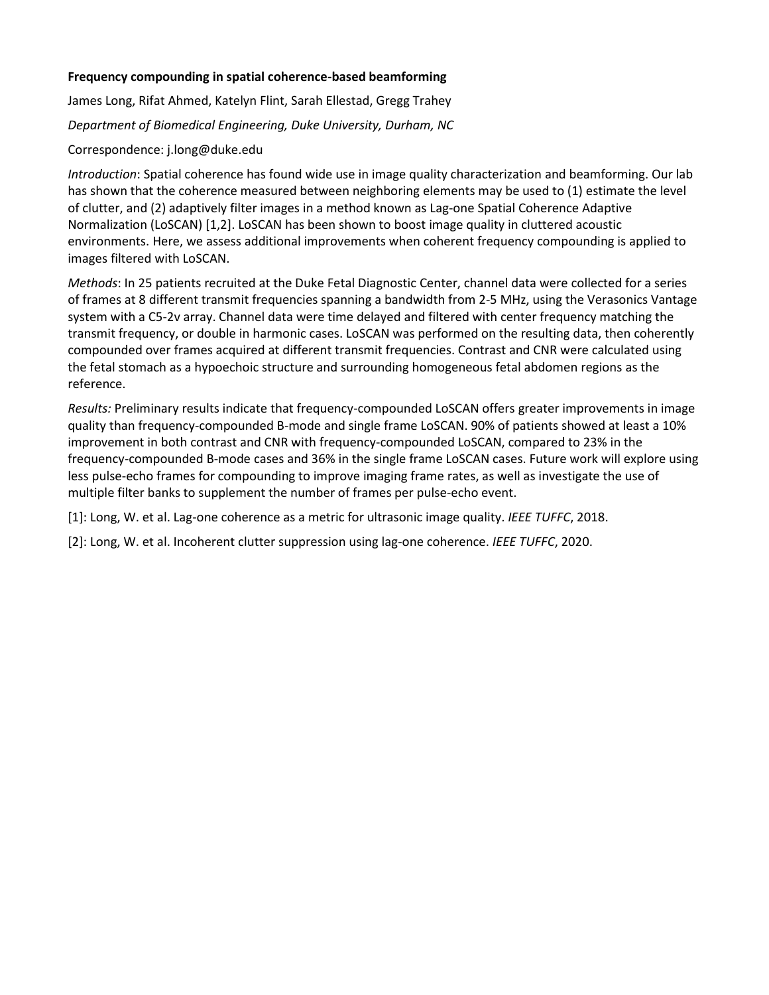# **Frequency compounding in spatial coherence-based beamforming**

James Long, Rifat Ahmed, Katelyn Flint, Sarah Ellestad, Gregg Trahey

*Department of Biomedical Engineering, Duke University, Durham, NC*

# Correspondence: j.long@duke.edu

*Introduction*: Spatial coherence has found wide use in image quality characterization and beamforming. Our lab has shown that the coherence measured between neighboring elements may be used to (1) estimate the level of clutter, and (2) adaptively filter images in a method known as Lag-one Spatial Coherence Adaptive Normalization (LoSCAN) [1,2]. LoSCAN has been shown to boost image quality in cluttered acoustic environments. Here, we assess additional improvements when coherent frequency compounding is applied to images filtered with LoSCAN.

*Methods*: In 25 patients recruited at the Duke Fetal Diagnostic Center, channel data were collected for a series of frames at 8 different transmit frequencies spanning a bandwidth from 2-5 MHz, using the Verasonics Vantage system with a C5-2v array. Channel data were time delayed and filtered with center frequency matching the transmit frequency, or double in harmonic cases. LoSCAN was performed on the resulting data, then coherently compounded over frames acquired at different transmit frequencies. Contrast and CNR were calculated using the fetal stomach as a hypoechoic structure and surrounding homogeneous fetal abdomen regions as the reference.

*Results:* Preliminary results indicate that frequency-compounded LoSCAN offers greater improvements in image quality than frequency-compounded B-mode and single frame LoSCAN. 90% of patients showed at least a 10% improvement in both contrast and CNR with frequency-compounded LoSCAN, compared to 23% in the frequency-compounded B-mode cases and 36% in the single frame LoSCAN cases. Future work will explore using less pulse-echo frames for compounding to improve imaging frame rates, as well as investigate the use of multiple filter banks to supplement the number of frames per pulse-echo event.

[1]: Long, W. et al. Lag-one coherence as a metric for ultrasonic image quality. *IEEE TUFFC*, 2018.

[2]: Long, W. et al. Incoherent clutter suppression using lag-one coherence. *IEEE TUFFC*, 2020.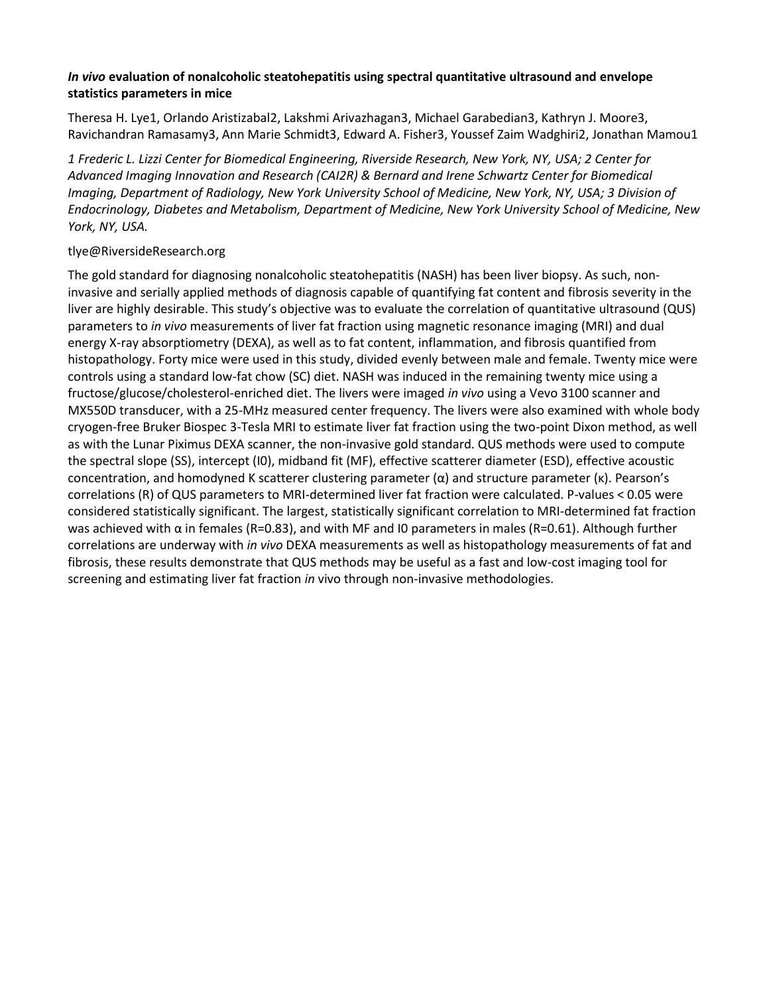# *In vivo* **evaluation of nonalcoholic steatohepatitis using spectral quantitative ultrasound and envelope statistics parameters in mice**

Theresa H. Lye1, Orlando Aristizabal2, Lakshmi Arivazhagan3, Michael Garabedian3, Kathryn J. Moore3, Ravichandran Ramasamy3, Ann Marie Schmidt3, Edward A. Fisher3, Youssef Zaim Wadghiri2, Jonathan Mamou1

*1 Frederic L. Lizzi Center for Biomedical Engineering, Riverside Research, New York, NY, USA; 2 Center for Advanced Imaging Innovation and Research (CAI2R) & Bernard and Irene Schwartz Center for Biomedical Imaging, Department of Radiology, New York University School of Medicine, New York, NY, USA; 3 Division of Endocrinology, Diabetes and Metabolism, Department of Medicine, New York University School of Medicine, New York, NY, USA.*

# tlye@RiversideResearch.org

The gold standard for diagnosing nonalcoholic steatohepatitis (NASH) has been liver biopsy. As such, noninvasive and serially applied methods of diagnosis capable of quantifying fat content and fibrosis severity in the liver are highly desirable. This study's objective was to evaluate the correlation of quantitative ultrasound (QUS) parameters to *in vivo* measurements of liver fat fraction using magnetic resonance imaging (MRI) and dual energy X-ray absorptiometry (DEXA), as well as to fat content, inflammation, and fibrosis quantified from histopathology. Forty mice were used in this study, divided evenly between male and female. Twenty mice were controls using a standard low-fat chow (SC) diet. NASH was induced in the remaining twenty mice using a fructose/glucose/cholesterol-enriched diet. The livers were imaged *in vivo* using a Vevo 3100 scanner and MX550D transducer, with a 25-MHz measured center frequency. The livers were also examined with whole body cryogen-free Bruker Biospec 3-Tesla MRI to estimate liver fat fraction using the two-point Dixon method, as well as with the Lunar Piximus DEXA scanner, the non-invasive gold standard. QUS methods were used to compute the spectral slope (SS), intercept (I0), midband fit (MF), effective scatterer diameter (ESD), effective acoustic concentration, and homodyned K scatterer clustering parameter (α) and structure parameter (κ). Pearson's correlations (R) of QUS parameters to MRI-determined liver fat fraction were calculated. P-values < 0.05 were considered statistically significant. The largest, statistically significant correlation to MRI-determined fat fraction was achieved with α in females (R=0.83), and with MF and I0 parameters in males (R=0.61). Although further correlations are underway with *in vivo* DEXA measurements as well as histopathology measurements of fat and fibrosis, these results demonstrate that QUS methods may be useful as a fast and low-cost imaging tool for screening and estimating liver fat fraction *in* vivo through non-invasive methodologies.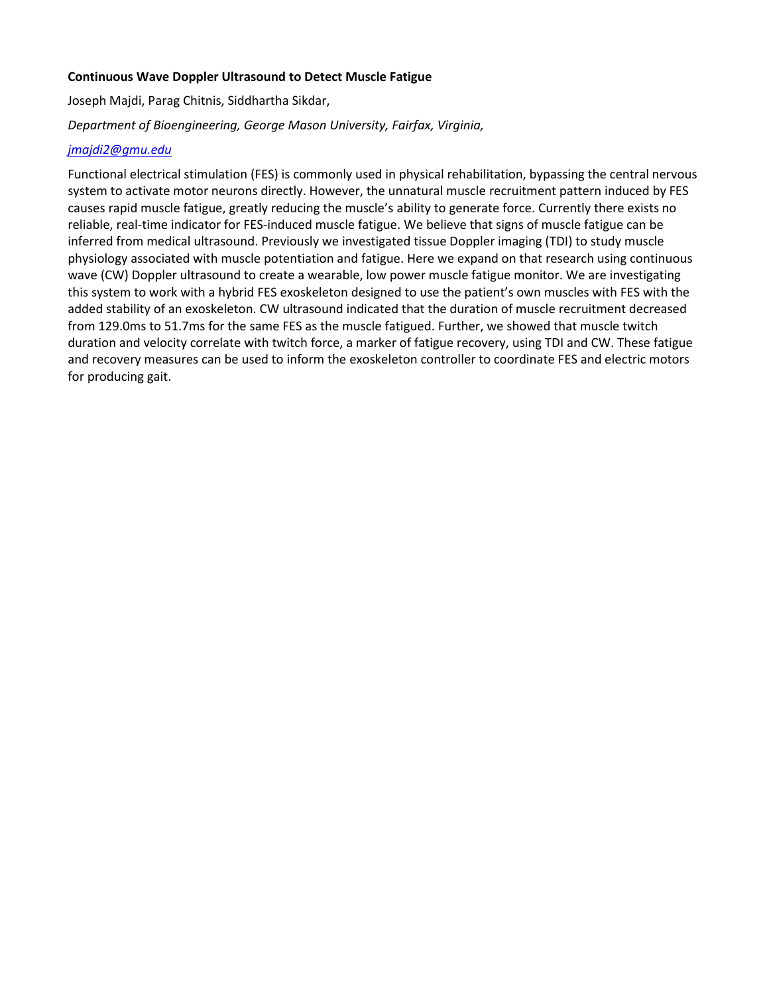# **Continuous Wave Doppler Ultrasound to Detect Muscle Fatigue**

Joseph Majdi, Parag Chitnis, Siddhartha Sikdar,

# *Department of Bioengineering, George Mason University, Fairfax, Virginia,*

## *[jmajdi2@gmu.edu](mailto:jmajdi2@gmu.edu)*

Functional electrical stimulation (FES) is commonly used in physical rehabilitation, bypassing the central nervous system to activate motor neurons directly. However, the unnatural muscle recruitment pattern induced by FES causes rapid muscle fatigue, greatly reducing the muscle's ability to generate force. Currently there exists no reliable, real-time indicator for FES-induced muscle fatigue. We believe that signs of muscle fatigue can be inferred from medical ultrasound. Previously we investigated tissue Doppler imaging (TDI) to study muscle physiology associated with muscle potentiation and fatigue. Here we expand on that research using continuous wave (CW) Doppler ultrasound to create a wearable, low power muscle fatigue monitor. We are investigating this system to work with a hybrid FES exoskeleton designed to use the patient's own muscles with FES with the added stability of an exoskeleton. CW ultrasound indicated that the duration of muscle recruitment decreased from 129.0ms to 51.7ms for the same FES as the muscle fatigued. Further, we showed that muscle twitch duration and velocity correlate with twitch force, a marker of fatigue recovery, using TDI and CW. These fatigue and recovery measures can be used to inform the exoskeleton controller to coordinate FES and electric motors for producing gait.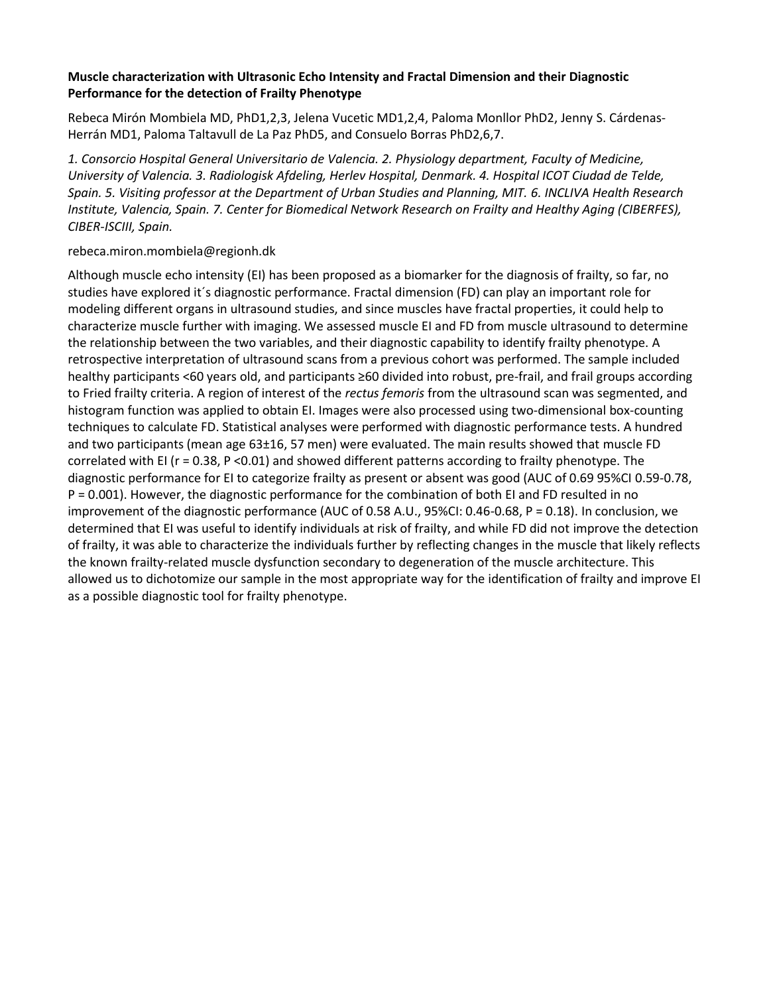# **Muscle characterization with Ultrasonic Echo Intensity and Fractal Dimension and their Diagnostic Performance for the detection of Frailty Phenotype**

Rebeca Mirón Mombiela MD, PhD1,2,3, Jelena Vucetic MD1,2,4, Paloma Monllor PhD2, Jenny S. Cárdenas-Herrán MD1, Paloma Taltavull de La Paz PhD5, and Consuelo Borras PhD2,6,7.

*1. Consorcio Hospital General Universitario de Valencia. 2. Physiology department, Faculty of Medicine, University of Valencia. 3. Radiologisk Afdeling, Herlev Hospital, Denmark. 4. Hospital ICOT Ciudad de Telde, Spain. 5. Visiting professor at the Department of Urban Studies and Planning, MIT. 6. INCLIVA Health Research Institute, Valencia, Spain. 7. Center for Biomedical Network Research on Frailty and Healthy Aging (CIBERFES), CIBER-ISCIII, Spain.*

## rebeca.miron.mombiela@regionh.dk

Although muscle echo intensity (EI) has been proposed as a biomarker for the diagnosis of frailty, so far, no studies have explored it´s diagnostic performance. Fractal dimension (FD) can play an important role for modeling different organs in ultrasound studies, and since muscles have fractal properties, it could help to characterize muscle further with imaging. We assessed muscle EI and FD from muscle ultrasound to determine the relationship between the two variables, and their diagnostic capability to identify frailty phenotype. A retrospective interpretation of ultrasound scans from a previous cohort was performed. The sample included healthy participants <60 years old, and participants ≥60 divided into robust, pre-frail, and frail groups according to Fried frailty criteria. A region of interest of the *rectus femoris* from the ultrasound scan was segmented, and histogram function was applied to obtain EI. Images were also processed using two-dimensional box-counting techniques to calculate FD. Statistical analyses were performed with diagnostic performance tests. A hundred and two participants (mean age 63±16, 57 men) were evaluated. The main results showed that muscle FD correlated with EI (r = 0.38, P < 0.01) and showed different patterns according to frailty phenotype. The diagnostic performance for EI to categorize frailty as present or absent was good (AUC of 0.69 95%CI 0.59-0.78, P = 0.001). However, the diagnostic performance for the combination of both EI and FD resulted in no improvement of the diagnostic performance (AUC of 0.58 A.U., 95%CI: 0.46-0.68, P = 0.18). In conclusion, we determined that EI was useful to identify individuals at risk of frailty, and while FD did not improve the detection of frailty, it was able to characterize the individuals further by reflecting changes in the muscle that likely reflects the known frailty-related muscle dysfunction secondary to degeneration of the muscle architecture. This allowed us to dichotomize our sample in the most appropriate way for the identification of frailty and improve EI as a possible diagnostic tool for frailty phenotype.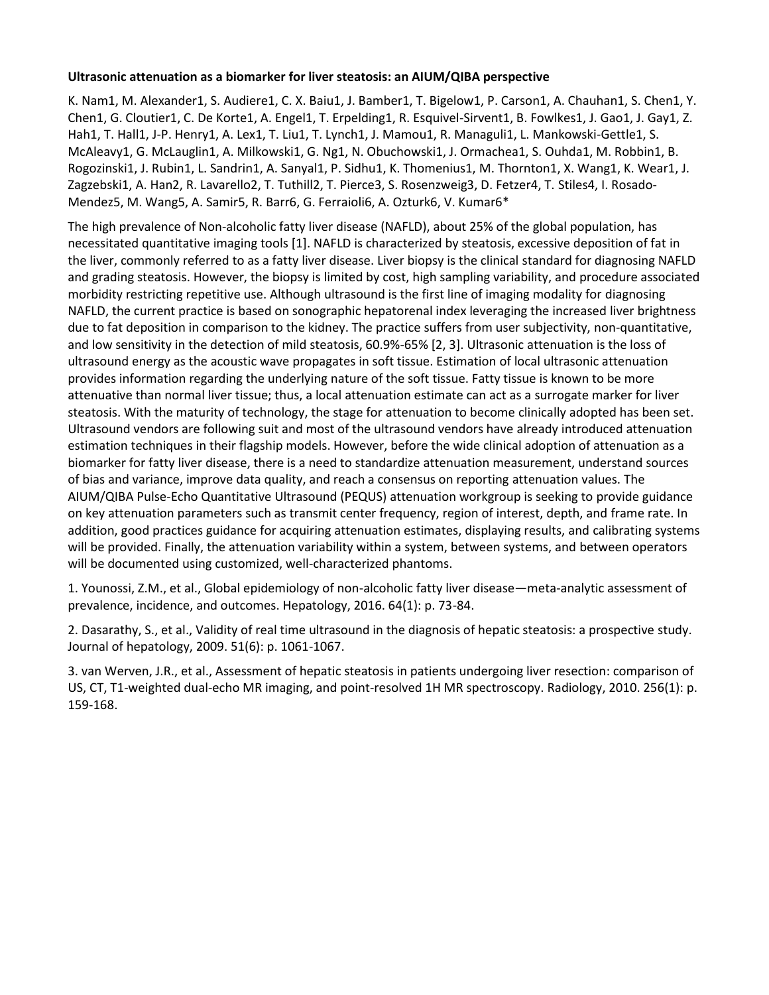# **Ultrasonic attenuation as a biomarker for liver steatosis: an AIUM/QIBA perspective**

K. Nam1, M. Alexander1, S. Audiere1, C. X. Baiu1, J. Bamber1, T. Bigelow1, P. Carson1, A. Chauhan1, S. Chen1, Y. Chen1, G. Cloutier1, C. De Korte1, A. Engel1, T. Erpelding1, R. Esquivel-Sirvent1, B. Fowlkes1, J. Gao1, J. Gay1, Z. Hah1, T. Hall1, J-P. Henry1, A. Lex1, T. Liu1, T. Lynch1, J. Mamou1, R. Managuli1, L. Mankowski-Gettle1, S. McAleavy1, G. McLauglin1, A. Milkowski1, G. Ng1, N. Obuchowski1, J. Ormachea1, S. Ouhda1, M. Robbin1, B. Rogozinski1, J. Rubin1, L. Sandrin1, A. Sanyal1, P. Sidhu1, K. Thomenius1, M. Thornton1, X. Wang1, K. Wear1, J. Zagzebski1, A. Han2, R. Lavarello2, T. Tuthill2, T. Pierce3, S. Rosenzweig3, D. Fetzer4, T. Stiles4, I. Rosado-Mendez5, M. Wang5, A. Samir5, R. Barr6, G. Ferraioli6, A. Ozturk6, V. Kumar6\*

The high prevalence of Non-alcoholic fatty liver disease (NAFLD), about 25% of the global population, has necessitated quantitative imaging tools [1]. NAFLD is characterized by steatosis, excessive deposition of fat in the liver, commonly referred to as a fatty liver disease. Liver biopsy is the clinical standard for diagnosing NAFLD and grading steatosis. However, the biopsy is limited by cost, high sampling variability, and procedure associated morbidity restricting repetitive use. Although ultrasound is the first line of imaging modality for diagnosing NAFLD, the current practice is based on sonographic hepatorenal index leveraging the increased liver brightness due to fat deposition in comparison to the kidney. The practice suffers from user subjectivity, non-quantitative, and low sensitivity in the detection of mild steatosis, 60.9%-65% [2, 3]. Ultrasonic attenuation is the loss of ultrasound energy as the acoustic wave propagates in soft tissue. Estimation of local ultrasonic attenuation provides information regarding the underlying nature of the soft tissue. Fatty tissue is known to be more attenuative than normal liver tissue; thus, a local attenuation estimate can act as a surrogate marker for liver steatosis. With the maturity of technology, the stage for attenuation to become clinically adopted has been set. Ultrasound vendors are following suit and most of the ultrasound vendors have already introduced attenuation estimation techniques in their flagship models. However, before the wide clinical adoption of attenuation as a biomarker for fatty liver disease, there is a need to standardize attenuation measurement, understand sources of bias and variance, improve data quality, and reach a consensus on reporting attenuation values. The AIUM/QIBA Pulse-Echo Quantitative Ultrasound (PEQUS) attenuation workgroup is seeking to provide guidance on key attenuation parameters such as transmit center frequency, region of interest, depth, and frame rate. In addition, good practices guidance for acquiring attenuation estimates, displaying results, and calibrating systems will be provided. Finally, the attenuation variability within a system, between systems, and between operators will be documented using customized, well-characterized phantoms.

1. Younossi, Z.M., et al., Global epidemiology of non-alcoholic fatty liver disease—meta-analytic assessment of prevalence, incidence, and outcomes. Hepatology, 2016. 64(1): p. 73-84.

2. Dasarathy, S., et al., Validity of real time ultrasound in the diagnosis of hepatic steatosis: a prospective study. Journal of hepatology, 2009. 51(6): p. 1061-1067.

3. van Werven, J.R., et al., Assessment of hepatic steatosis in patients undergoing liver resection: comparison of US, CT, T1-weighted dual-echo MR imaging, and point-resolved 1H MR spectroscopy. Radiology, 2010. 256(1): p. 159-168.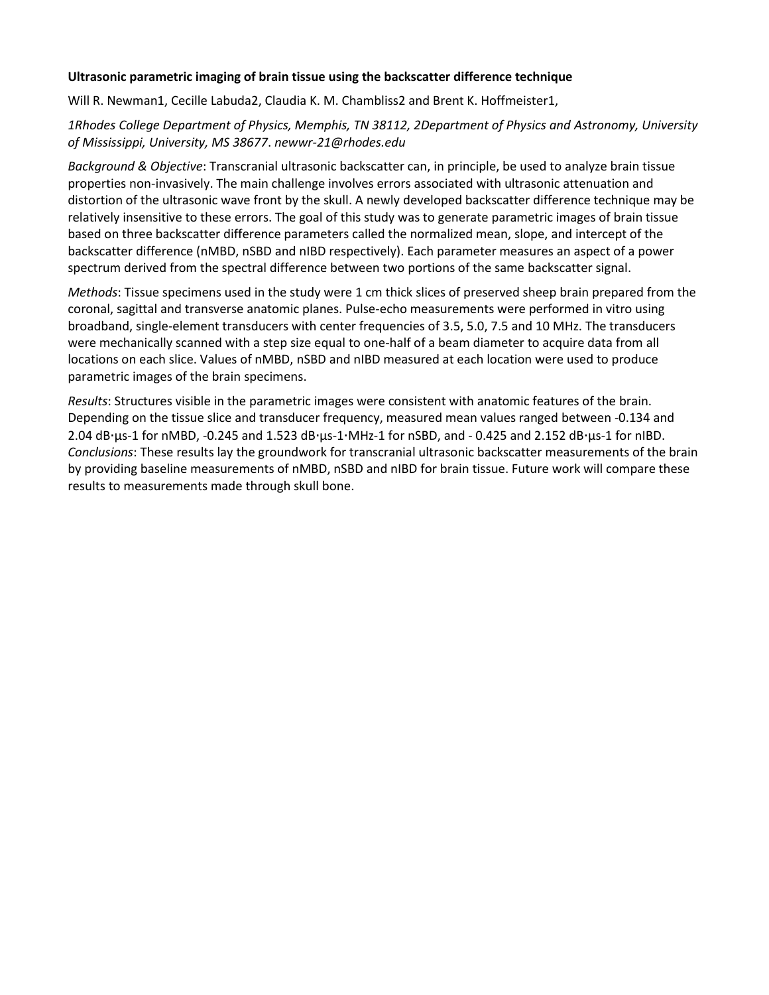## **Ultrasonic parametric imaging of brain tissue using the backscatter difference technique**

Will R. Newman1, Cecille Labuda2, Claudia K. M. Chambliss2 and Brent K. Hoffmeister1,

# *1Rhodes College Department of Physics, Memphis, TN 38112, 2Department of Physics and Astronomy, University of Mississippi, University, MS 38677*. *newwr-21@rhodes.edu*

*Background & Objective*: Transcranial ultrasonic backscatter can, in principle, be used to analyze brain tissue properties non-invasively. The main challenge involves errors associated with ultrasonic attenuation and distortion of the ultrasonic wave front by the skull. A newly developed backscatter difference technique may be relatively insensitive to these errors. The goal of this study was to generate parametric images of brain tissue based on three backscatter difference parameters called the normalized mean, slope, and intercept of the backscatter difference (nMBD, nSBD and nIBD respectively). Each parameter measures an aspect of a power spectrum derived from the spectral difference between two portions of the same backscatter signal.

*Methods*: Tissue specimens used in the study were 1 cm thick slices of preserved sheep brain prepared from the coronal, sagittal and transverse anatomic planes. Pulse-echo measurements were performed in vitro using broadband, single-element transducers with center frequencies of 3.5, 5.0, 7.5 and 10 MHz. The transducers were mechanically scanned with a step size equal to one-half of a beam diameter to acquire data from all locations on each slice. Values of nMBD, nSBD and nIBD measured at each location were used to produce parametric images of the brain specimens.

*Results*: Structures visible in the parametric images were consistent with anatomic features of the brain. Depending on the tissue slice and transducer frequency, measured mean values ranged between -0.134 and 2.04 dB⸱μs-1 for nMBD, -0.245 and 1.523 dB⸱μs-1⸱MHz-1 for nSBD, and - 0.425 and 2.152 dB⸱μs-1 for nIBD. *Conclusions*: These results lay the groundwork for transcranial ultrasonic backscatter measurements of the brain by providing baseline measurements of nMBD, nSBD and nIBD for brain tissue. Future work will compare these results to measurements made through skull bone.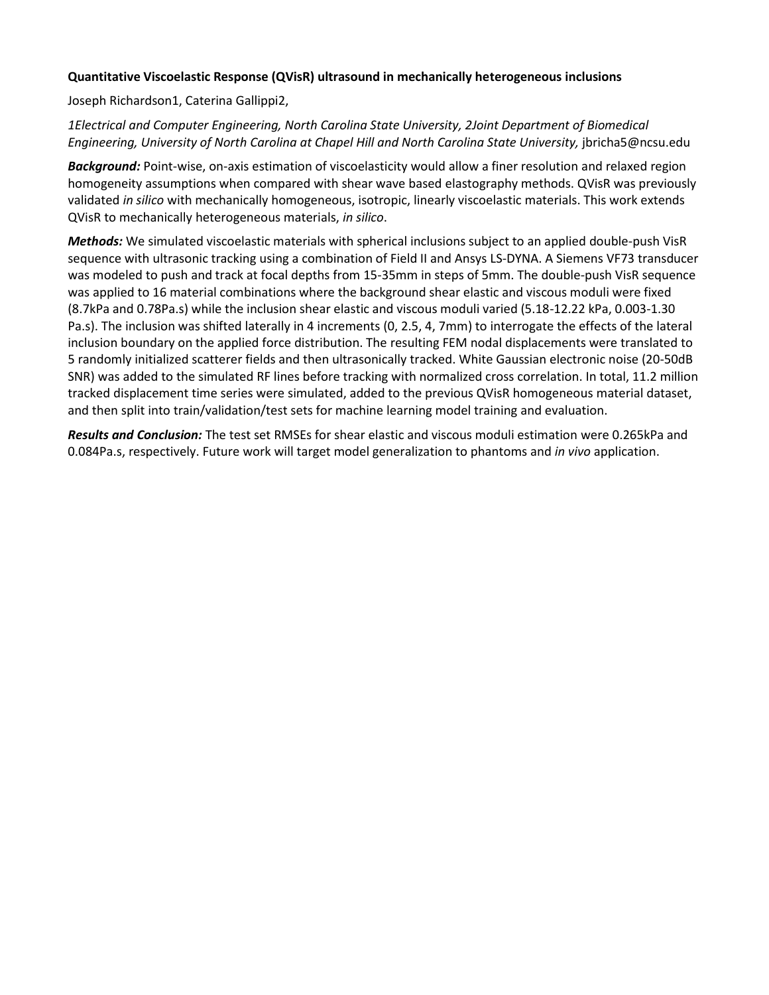## **Quantitative Viscoelastic Response (QVisR) ultrasound in mechanically heterogeneous inclusions**

Joseph Richardson1, Caterina Gallippi2,

*1Electrical and Computer Engineering, North Carolina State University, 2Joint Department of Biomedical Engineering, University of North Carolina at Chapel Hill and North Carolina State University,* jbricha5@ncsu.edu

*Background:* Point-wise, on-axis estimation of viscoelasticity would allow a finer resolution and relaxed region homogeneity assumptions when compared with shear wave based elastography methods. QVisR was previously validated *in silico* with mechanically homogeneous, isotropic, linearly viscoelastic materials. This work extends QVisR to mechanically heterogeneous materials, *in silico*.

*Methods:* We simulated viscoelastic materials with spherical inclusions subject to an applied double-push VisR sequence with ultrasonic tracking using a combination of Field II and Ansys LS-DYNA. A Siemens VF73 transducer was modeled to push and track at focal depths from 15-35mm in steps of 5mm. The double-push VisR sequence was applied to 16 material combinations where the background shear elastic and viscous moduli were fixed (8.7kPa and 0.78Pa.s) while the inclusion shear elastic and viscous moduli varied (5.18-12.22 kPa, 0.003-1.30 Pa.s). The inclusion was shifted laterally in 4 increments (0, 2.5, 4, 7mm) to interrogate the effects of the lateral inclusion boundary on the applied force distribution. The resulting FEM nodal displacements were translated to 5 randomly initialized scatterer fields and then ultrasonically tracked. White Gaussian electronic noise (20-50dB SNR) was added to the simulated RF lines before tracking with normalized cross correlation. In total, 11.2 million tracked displacement time series were simulated, added to the previous QVisR homogeneous material dataset, and then split into train/validation/test sets for machine learning model training and evaluation.

*Results and Conclusion:* The test set RMSEs for shear elastic and viscous moduli estimation were 0.265kPa and 0.084Pa.s, respectively. Future work will target model generalization to phantoms and *in vivo* application.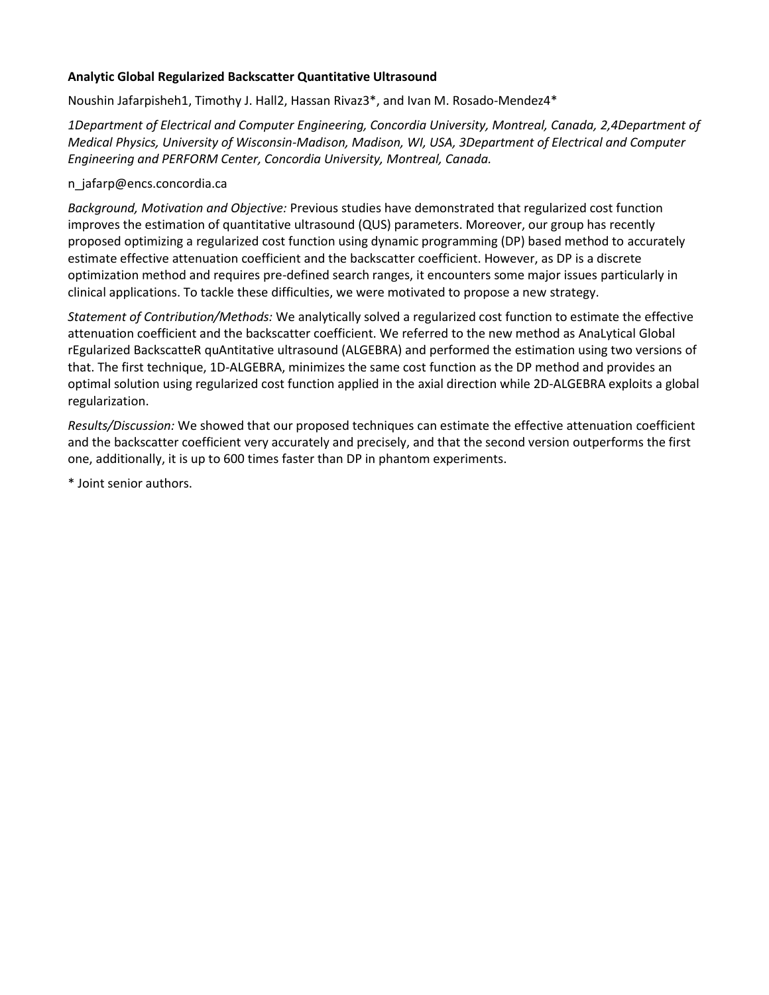# **Analytic Global Regularized Backscatter Quantitative Ultrasound**

Noushin Jafarpisheh1, Timothy J. Hall2, Hassan Rivaz3\*, and Ivan M. Rosado-Mendez4\*

*1Department of Electrical and Computer Engineering, Concordia University, Montreal, Canada, 2,4Department of Medical Physics, University of Wisconsin-Madison, Madison, WI, USA, 3Department of Electrical and Computer Engineering and PERFORM Center, Concordia University, Montreal, Canada.*

## n\_jafarp@encs.concordia.ca

*Background, Motivation and Objective:* Previous studies have demonstrated that regularized cost function improves the estimation of quantitative ultrasound (QUS) parameters. Moreover, our group has recently proposed optimizing a regularized cost function using dynamic programming (DP) based method to accurately estimate effective attenuation coefficient and the backscatter coefficient. However, as DP is a discrete optimization method and requires pre-defined search ranges, it encounters some major issues particularly in clinical applications. To tackle these difficulties, we were motivated to propose a new strategy.

*Statement of Contribution/Methods:* We analytically solved a regularized cost function to estimate the effective attenuation coefficient and the backscatter coefficient. We referred to the new method as AnaLytical Global rEgularized BackscatteR quAntitative ultrasound (ALGEBRA) and performed the estimation using two versions of that. The first technique, 1D-ALGEBRA, minimizes the same cost function as the DP method and provides an optimal solution using regularized cost function applied in the axial direction while 2D-ALGEBRA exploits a global regularization.

*Results/Discussion:* We showed that our proposed techniques can estimate the effective attenuation coefficient and the backscatter coefficient very accurately and precisely, and that the second version outperforms the first one, additionally, it is up to 600 times faster than DP in phantom experiments.

\* Joint senior authors.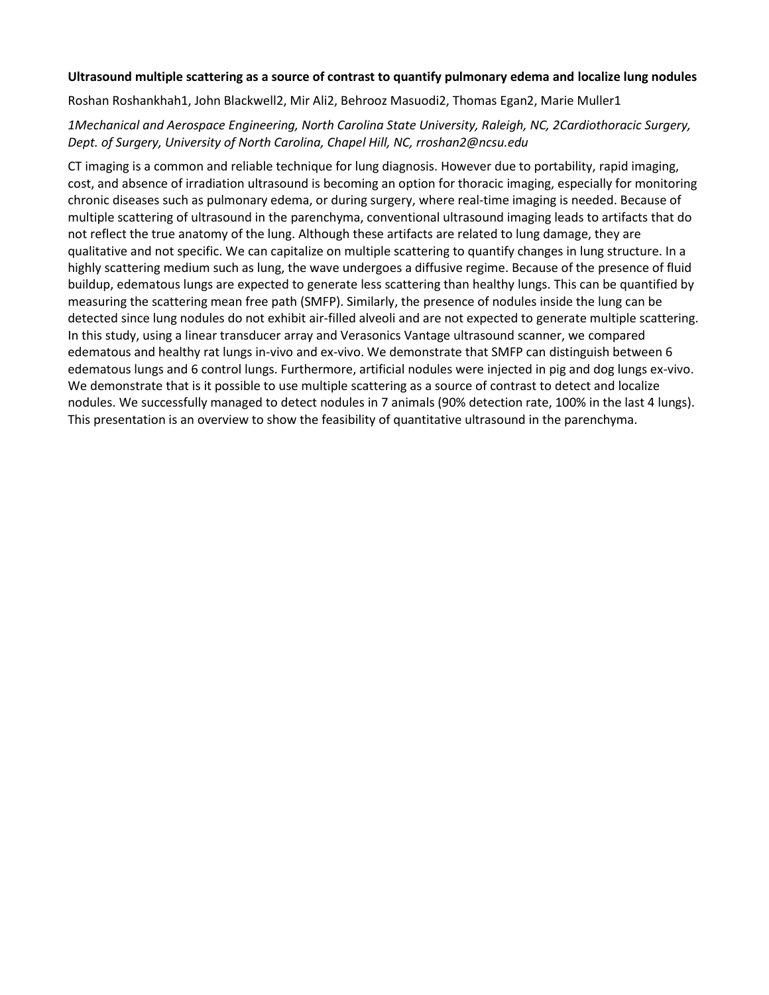## **Ultrasound multiple scattering as a source of contrast to quantify pulmonary edema and localize lung nodules**

Roshan Roshankhah1, John Blackwell2, Mir Ali2, Behrooz Masuodi2, Thomas Egan2, Marie Muller1

# *1Mechanical and Aerospace Engineering, North Carolina State University, Raleigh, NC, 2Cardiothoracic Surgery, Dept. of Surgery, University of North Carolina, Chapel Hill, NC, rroshan2@ncsu.edu*

CT imaging is a common and reliable technique for lung diagnosis. However due to portability, rapid imaging, cost, and absence of irradiation ultrasound is becoming an option for thoracic imaging, especially for monitoring chronic diseases such as pulmonary edema, or during surgery, where real-time imaging is needed. Because of multiple scattering of ultrasound in the parenchyma, conventional ultrasound imaging leads to artifacts that do not reflect the true anatomy of the lung. Although these artifacts are related to lung damage, they are qualitative and not specific. We can capitalize on multiple scattering to quantify changes in lung structure. In a highly scattering medium such as lung, the wave undergoes a diffusive regime. Because of the presence of fluid buildup, edematous lungs are expected to generate less scattering than healthy lungs. This can be quantified by measuring the scattering mean free path (SMFP). Similarly, the presence of nodules inside the lung can be detected since lung nodules do not exhibit air-filled alveoli and are not expected to generate multiple scattering. In this study, using a linear transducer array and Verasonics Vantage ultrasound scanner, we compared edematous and healthy rat lungs in-vivo and ex-vivo. We demonstrate that SMFP can distinguish between 6 edematous lungs and 6 control lungs. Furthermore, artificial nodules were injected in pig and dog lungs ex-vivo. We demonstrate that is it possible to use multiple scattering as a source of contrast to detect and localize nodules. We successfully managed to detect nodules in 7 animals (90% detection rate, 100% in the last 4 lungs). This presentation is an overview to show the feasibility of quantitative ultrasound in the parenchyma.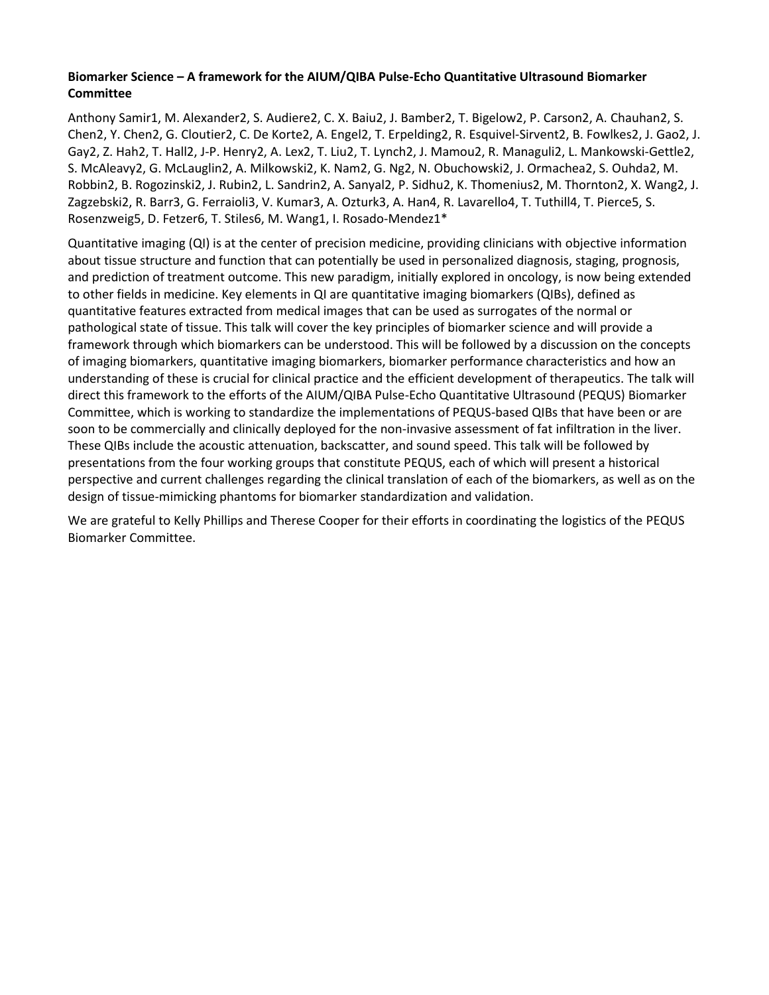# **Biomarker Science – A framework for the AIUM/QIBA Pulse-Echo Quantitative Ultrasound Biomarker Committee**

Anthony Samir1, M. Alexander2, S. Audiere2, C. X. Baiu2, J. Bamber2, T. Bigelow2, P. Carson2, A. Chauhan2, S. Chen2, Y. Chen2, G. Cloutier2, C. De Korte2, A. Engel2, T. Erpelding2, R. Esquivel-Sirvent2, B. Fowlkes2, J. Gao2, J. Gay2, Z. Hah2, T. Hall2, J-P. Henry2, A. Lex2, T. Liu2, T. Lynch2, J. Mamou2, R. Managuli2, L. Mankowski-Gettle2, S. McAleavy2, G. McLauglin2, A. Milkowski2, K. Nam2, G. Ng2, N. Obuchowski2, J. Ormachea2, S. Ouhda2, M. Robbin2, B. Rogozinski2, J. Rubin2, L. Sandrin2, A. Sanyal2, P. Sidhu2, K. Thomenius2, M. Thornton2, X. Wang2, J. Zagzebski2, R. Barr3, G. Ferraioli3, V. Kumar3, A. Ozturk3, A. Han4, R. Lavarello4, T. Tuthill4, T. Pierce5, S. Rosenzweig5, D. Fetzer6, T. Stiles6, M. Wang1, I. Rosado-Mendez1\*

Quantitative imaging (QI) is at the center of precision medicine, providing clinicians with objective information about tissue structure and function that can potentially be used in personalized diagnosis, staging, prognosis, and prediction of treatment outcome. This new paradigm, initially explored in oncology, is now being extended to other fields in medicine. Key elements in QI are quantitative imaging biomarkers (QIBs), defined as quantitative features extracted from medical images that can be used as surrogates of the normal or pathological state of tissue. This talk will cover the key principles of biomarker science and will provide a framework through which biomarkers can be understood. This will be followed by a discussion on the concepts of imaging biomarkers, quantitative imaging biomarkers, biomarker performance characteristics and how an understanding of these is crucial for clinical practice and the efficient development of therapeutics. The talk will direct this framework to the efforts of the AIUM/QIBA Pulse-Echo Quantitative Ultrasound (PEQUS) Biomarker Committee, which is working to standardize the implementations of PEQUS-based QIBs that have been or are soon to be commercially and clinically deployed for the non-invasive assessment of fat infiltration in the liver. These QIBs include the acoustic attenuation, backscatter, and sound speed. This talk will be followed by presentations from the four working groups that constitute PEQUS, each of which will present a historical perspective and current challenges regarding the clinical translation of each of the biomarkers, as well as on the design of tissue-mimicking phantoms for biomarker standardization and validation.

We are grateful to Kelly Phillips and Therese Cooper for their efforts in coordinating the logistics of the PEQUS Biomarker Committee.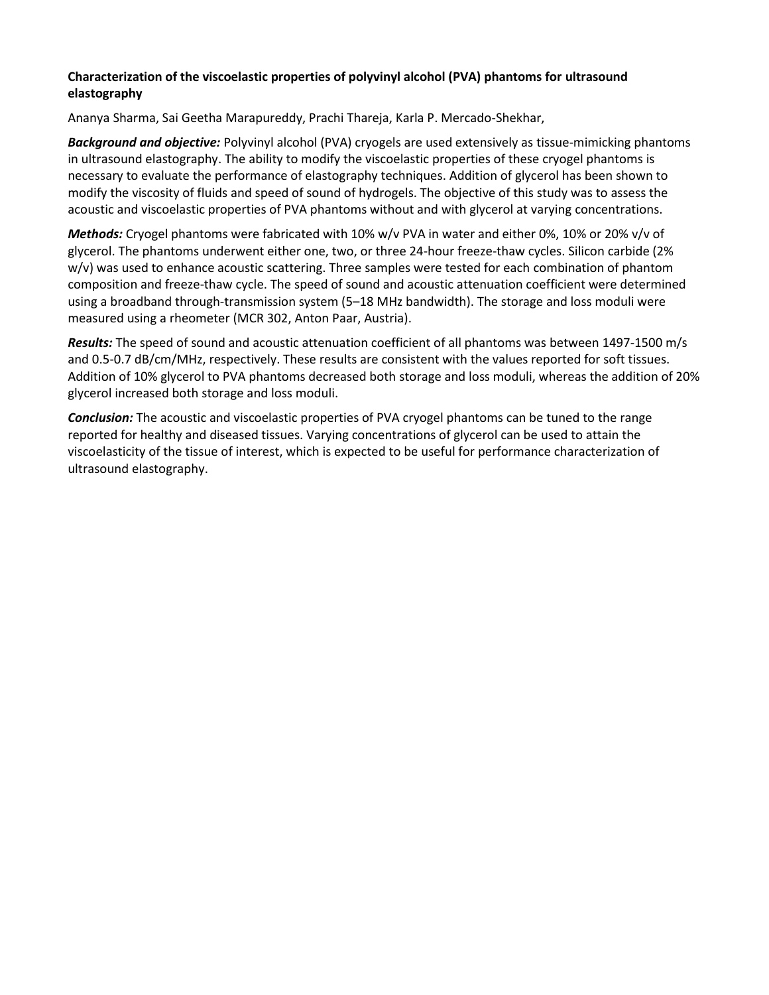# **Characterization of the viscoelastic properties of polyvinyl alcohol (PVA) phantoms for ultrasound elastography**

Ananya Sharma, Sai Geetha Marapureddy, Prachi Thareja, Karla P. Mercado-Shekhar,

*Background and objective:* Polyvinyl alcohol (PVA) cryogels are used extensively as tissue-mimicking phantoms in ultrasound elastography. The ability to modify the viscoelastic properties of these cryogel phantoms is necessary to evaluate the performance of elastography techniques. Addition of glycerol has been shown to modify the viscosity of fluids and speed of sound of hydrogels. The objective of this study was to assess the acoustic and viscoelastic properties of PVA phantoms without and with glycerol at varying concentrations.

*Methods:* Cryogel phantoms were fabricated with 10% w/v PVA in water and either 0%, 10% or 20% v/v of glycerol. The phantoms underwent either one, two, or three 24-hour freeze-thaw cycles. Silicon carbide (2% w/v) was used to enhance acoustic scattering. Three samples were tested for each combination of phantom composition and freeze-thaw cycle. The speed of sound and acoustic attenuation coefficient were determined using a broadband through-transmission system (5–18 MHz bandwidth). The storage and loss moduli were measured using a rheometer (MCR 302, Anton Paar, Austria).

*Results:* The speed of sound and acoustic attenuation coefficient of all phantoms was between 1497-1500 m/s and 0.5-0.7 dB/cm/MHz, respectively. These results are consistent with the values reported for soft tissues. Addition of 10% glycerol to PVA phantoms decreased both storage and loss moduli, whereas the addition of 20% glycerol increased both storage and loss moduli.

*Conclusion:* The acoustic and viscoelastic properties of PVA cryogel phantoms can be tuned to the range reported for healthy and diseased tissues. Varying concentrations of glycerol can be used to attain the viscoelasticity of the tissue of interest, which is expected to be useful for performance characterization of ultrasound elastography.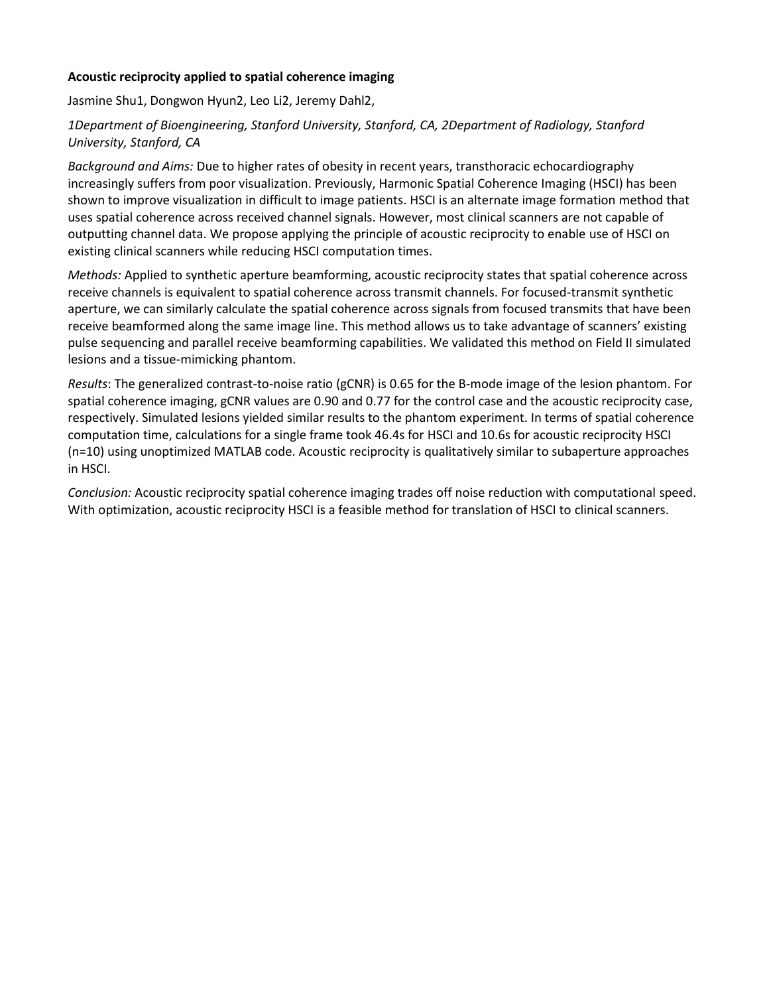# **Acoustic reciprocity applied to spatial coherence imaging**

Jasmine Shu1, Dongwon Hyun2, Leo Li2, Jeremy Dahl2,

# *1Department of Bioengineering, Stanford University, Stanford, CA, 2Department of Radiology, Stanford University, Stanford, CA*

*Background and Aims:* Due to higher rates of obesity in recent years, transthoracic echocardiography increasingly suffers from poor visualization. Previously, Harmonic Spatial Coherence Imaging (HSCI) has been shown to improve visualization in difficult to image patients. HSCI is an alternate image formation method that uses spatial coherence across received channel signals. However, most clinical scanners are not capable of outputting channel data. We propose applying the principle of acoustic reciprocity to enable use of HSCI on existing clinical scanners while reducing HSCI computation times.

*Methods:* Applied to synthetic aperture beamforming, acoustic reciprocity states that spatial coherence across receive channels is equivalent to spatial coherence across transmit channels. For focused-transmit synthetic aperture, we can similarly calculate the spatial coherence across signals from focused transmits that have been receive beamformed along the same image line. This method allows us to take advantage of scanners' existing pulse sequencing and parallel receive beamforming capabilities. We validated this method on Field II simulated lesions and a tissue-mimicking phantom.

*Results*: The generalized contrast-to-noise ratio (gCNR) is 0.65 for the B-mode image of the lesion phantom. For spatial coherence imaging, gCNR values are 0.90 and 0.77 for the control case and the acoustic reciprocity case, respectively. Simulated lesions yielded similar results to the phantom experiment. In terms of spatial coherence computation time, calculations for a single frame took 46.4s for HSCI and 10.6s for acoustic reciprocity HSCI (n=10) using unoptimized MATLAB code. Acoustic reciprocity is qualitatively similar to subaperture approaches in HSCI.

*Conclusion:* Acoustic reciprocity spatial coherence imaging trades off noise reduction with computational speed. With optimization, acoustic reciprocity HSCI is a feasible method for translation of HSCI to clinical scanners.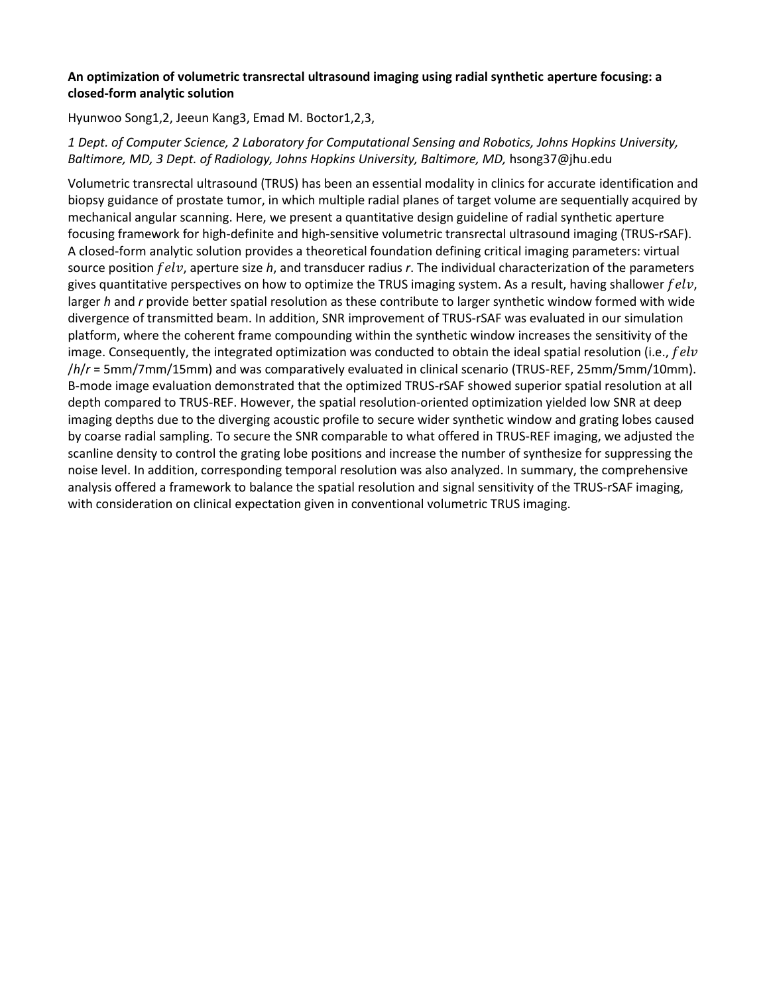# **An optimization of volumetric transrectal ultrasound imaging using radial synthetic aperture focusing: a closed-form analytic solution**

Hyunwoo Song1,2, Jeeun Kang3, Emad M. Boctor1,2,3,

# *1 Dept. of Computer Science, 2 Laboratory for Computational Sensing and Robotics, Johns Hopkins University, Baltimore, MD, 3 Dept. of Radiology, Johns Hopkins University, Baltimore, MD,* hsong37@jhu.edu

Volumetric transrectal ultrasound (TRUS) has been an essential modality in clinics for accurate identification and biopsy guidance of prostate tumor, in which multiple radial planes of target volume are sequentially acquired by mechanical angular scanning. Here, we present a quantitative design guideline of radial synthetic aperture focusing framework for high-definite and high-sensitive volumetric transrectal ultrasound imaging (TRUS-rSAF). A closed-form analytic solution provides a theoretical foundation defining critical imaging parameters: virtual source position felv, aperture size h, and transducer radius r. The individual characterization of the parameters gives quantitative perspectives on how to optimize the TRUS imaging system. As a result, having shallower  $felv$ , larger *h* and *r* provide better spatial resolution as these contribute to larger synthetic window formed with wide divergence of transmitted beam. In addition, SNR improvement of TRUS-rSAF was evaluated in our simulation platform, where the coherent frame compounding within the synthetic window increases the sensitivity of the image. Consequently, the integrated optimization was conducted to obtain the ideal spatial resolution (i.e.,  $felv$ /*h*/*r* = 5mm/7mm/15mm) and was comparatively evaluated in clinical scenario (TRUS-REF, 25mm/5mm/10mm). B-mode image evaluation demonstrated that the optimized TRUS-rSAF showed superior spatial resolution at all depth compared to TRUS-REF. However, the spatial resolution-oriented optimization yielded low SNR at deep imaging depths due to the diverging acoustic profile to secure wider synthetic window and grating lobes caused by coarse radial sampling. To secure the SNR comparable to what offered in TRUS-REF imaging, we adjusted the scanline density to control the grating lobe positions and increase the number of synthesize for suppressing the noise level. In addition, corresponding temporal resolution was also analyzed. In summary, the comprehensive analysis offered a framework to balance the spatial resolution and signal sensitivity of the TRUS-rSAF imaging, with consideration on clinical expectation given in conventional volumetric TRUS imaging.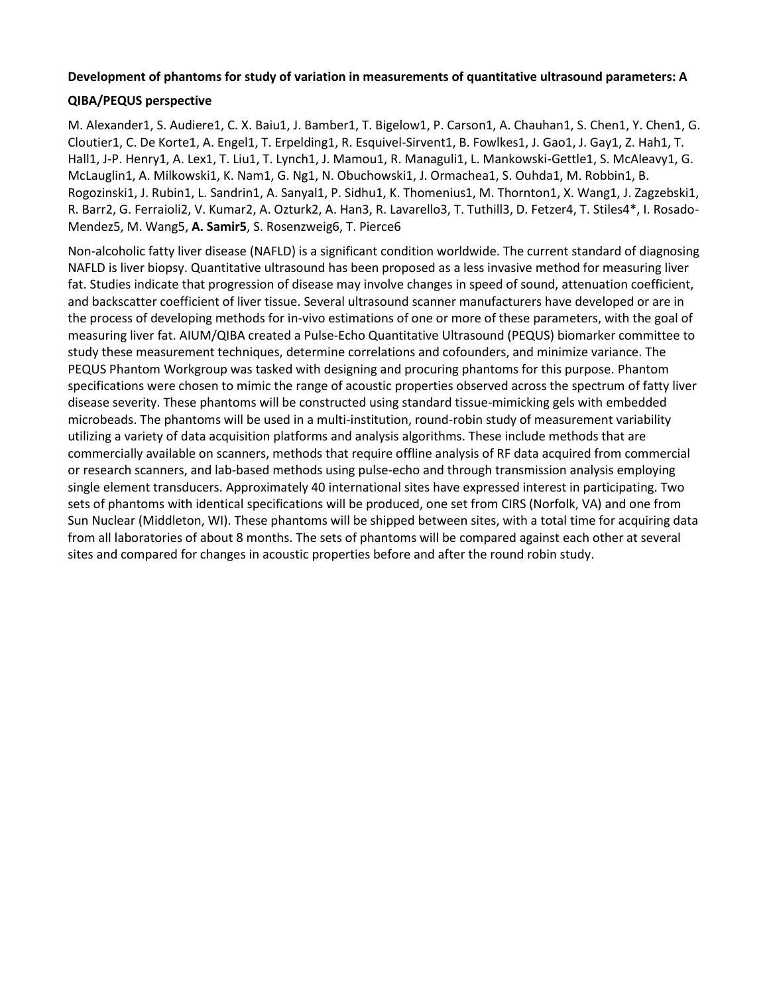# **Development of phantoms for study of variation in measurements of quantitative ultrasound parameters: A**

# **QIBA/PEQUS perspective**

M. Alexander1, S. Audiere1, C. X. Baiu1, J. Bamber1, T. Bigelow1, P. Carson1, A. Chauhan1, S. Chen1, Y. Chen1, G. Cloutier1, C. De Korte1, A. Engel1, T. Erpelding1, R. Esquivel-Sirvent1, B. Fowlkes1, J. Gao1, J. Gay1, Z. Hah1, T. Hall1, J-P. Henry1, A. Lex1, T. Liu1, T. Lynch1, J. Mamou1, R. Managuli1, L. Mankowski-Gettle1, S. McAleavy1, G. McLauglin1, A. Milkowski1, K. Nam1, G. Ng1, N. Obuchowski1, J. Ormachea1, S. Ouhda1, M. Robbin1, B. Rogozinski1, J. Rubin1, L. Sandrin1, A. Sanyal1, P. Sidhu1, K. Thomenius1, M. Thornton1, X. Wang1, J. Zagzebski1, R. Barr2, G. Ferraioli2, V. Kumar2, A. Ozturk2, A. Han3, R. Lavarello3, T. Tuthill3, D. Fetzer4, T. Stiles4\*, I. Rosado-Mendez5, M. Wang5, **A. Samir5**, S. Rosenzweig6, T. Pierce6

Non-alcoholic fatty liver disease (NAFLD) is a significant condition worldwide. The current standard of diagnosing NAFLD is liver biopsy. Quantitative ultrasound has been proposed as a less invasive method for measuring liver fat. Studies indicate that progression of disease may involve changes in speed of sound, attenuation coefficient, and backscatter coefficient of liver tissue. Several ultrasound scanner manufacturers have developed or are in the process of developing methods for in-vivo estimations of one or more of these parameters, with the goal of measuring liver fat. AIUM/QIBA created a Pulse-Echo Quantitative Ultrasound (PEQUS) biomarker committee to study these measurement techniques, determine correlations and cofounders, and minimize variance. The PEQUS Phantom Workgroup was tasked with designing and procuring phantoms for this purpose. Phantom specifications were chosen to mimic the range of acoustic properties observed across the spectrum of fatty liver disease severity. These phantoms will be constructed using standard tissue-mimicking gels with embedded microbeads. The phantoms will be used in a multi-institution, round-robin study of measurement variability utilizing a variety of data acquisition platforms and analysis algorithms. These include methods that are commercially available on scanners, methods that require offline analysis of RF data acquired from commercial or research scanners, and lab-based methods using pulse-echo and through transmission analysis employing single element transducers. Approximately 40 international sites have expressed interest in participating. Two sets of phantoms with identical specifications will be produced, one set from CIRS (Norfolk, VA) and one from Sun Nuclear (Middleton, WI). These phantoms will be shipped between sites, with a total time for acquiring data from all laboratories of about 8 months. The sets of phantoms will be compared against each other at several sites and compared for changes in acoustic properties before and after the round robin study.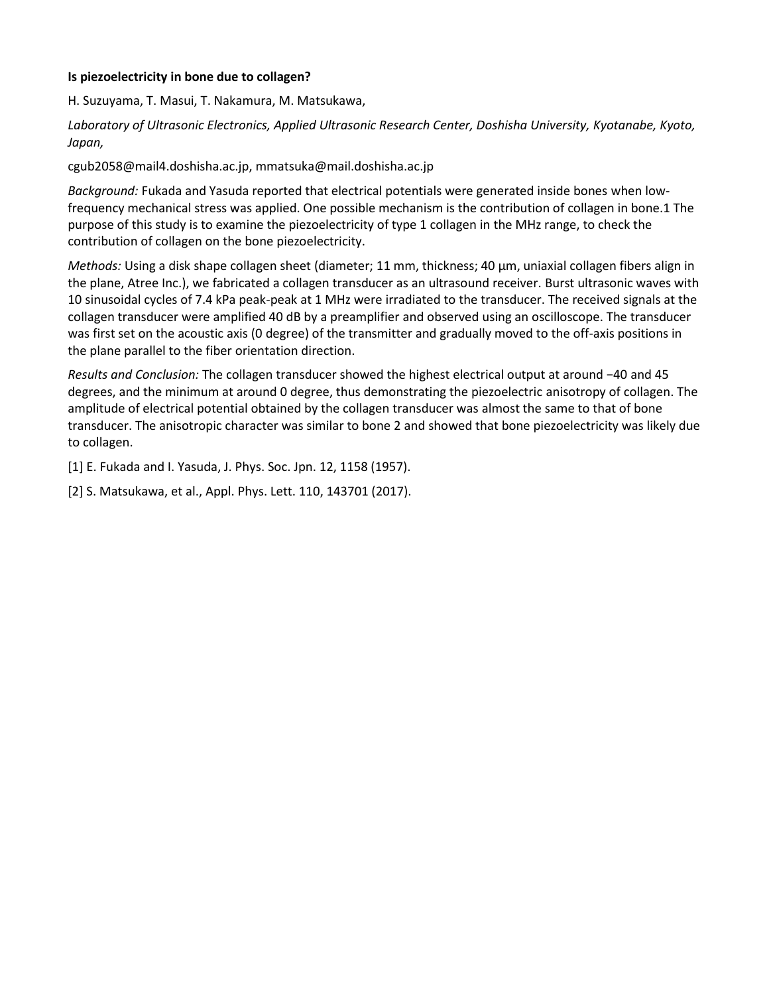# **Is piezoelectricity in bone due to collagen?**

H. Suzuyama, T. Masui, T. Nakamura, M. Matsukawa,

*Laboratory of Ultrasonic Electronics, Applied Ultrasonic Research Center, Doshisha University, Kyotanabe, Kyoto, Japan,*

cgub2058@mail4.doshisha.ac.jp, mmatsuka@mail.doshisha.ac.jp

*Background:* Fukada and Yasuda reported that electrical potentials were generated inside bones when lowfrequency mechanical stress was applied. One possible mechanism is the contribution of collagen in bone.1 The purpose of this study is to examine the piezoelectricity of type 1 collagen in the MHz range, to check the contribution of collagen on the bone piezoelectricity.

*Methods:* Using a disk shape collagen sheet (diameter; 11 mm, thickness; 40 μm, uniaxial collagen fibers align in the plane, Atree Inc.), we fabricated a collagen transducer as an ultrasound receiver. Burst ultrasonic waves with 10 sinusoidal cycles of 7.4 kPa peak-peak at 1 MHz were irradiated to the transducer. The received signals at the collagen transducer were amplified 40 dB by a preamplifier and observed using an oscilloscope. The transducer was first set on the acoustic axis (0 degree) of the transmitter and gradually moved to the off-axis positions in the plane parallel to the fiber orientation direction.

*Results and Conclusion:* The collagen transducer showed the highest electrical output at around −40 and 45 degrees, and the minimum at around 0 degree, thus demonstrating the piezoelectric anisotropy of collagen. The amplitude of electrical potential obtained by the collagen transducer was almost the same to that of bone transducer. The anisotropic character was similar to bone 2 and showed that bone piezoelectricity was likely due to collagen.

[1] E. Fukada and I. Yasuda, J. Phys. Soc. Jpn. 12, 1158 (1957).

[2] S. Matsukawa, et al., Appl. Phys. Lett. 110, 143701 (2017).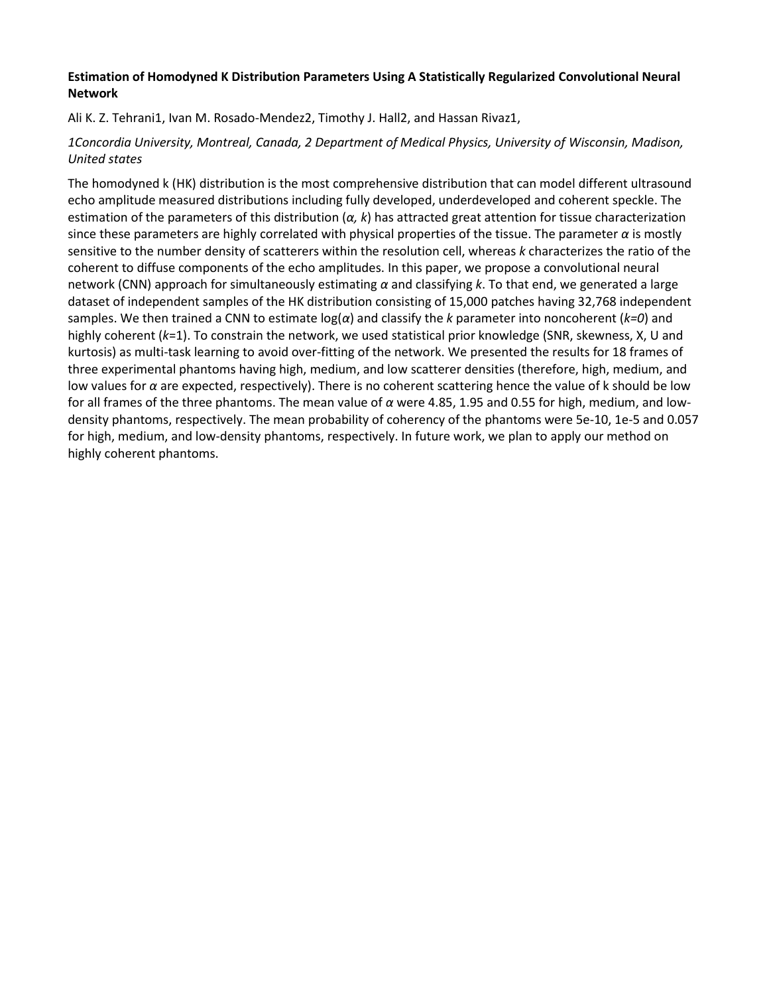# **Estimation of Homodyned K Distribution Parameters Using A Statistically Regularized Convolutional Neural Network**

Ali K. Z. Tehrani1, Ivan M. Rosado-Mendez2, Timothy J. Hall2, and Hassan Rivaz1,

# *1Concordia University, Montreal, Canada, 2 Department of Medical Physics, University of Wisconsin, Madison, United states*

The homodyned k (HK) distribution is the most comprehensive distribution that can model different ultrasound echo amplitude measured distributions including fully developed, underdeveloped and coherent speckle. The estimation of the parameters of this distribution (*α, k*) has attracted great attention for tissue characterization since these parameters are highly correlated with physical properties of the tissue. The parameter *α* is mostly sensitive to the number density of scatterers within the resolution cell, whereas *k* characterizes the ratio of the coherent to diffuse components of the echo amplitudes. In this paper, we propose a convolutional neural network (CNN) approach for simultaneously estimating *α* and classifying *k*. To that end, we generated a large dataset of independent samples of the HK distribution consisting of 15,000 patches having 32,768 independent samples. We then trained a CNN to estimate log(*α*) and classify the *k* parameter into noncoherent (*k=0*) and highly coherent (*k*=1). To constrain the network, we used statistical prior knowledge (SNR, skewness, X, U and kurtosis) as multi-task learning to avoid over-fitting of the network. We presented the results for 18 frames of three experimental phantoms having high, medium, and low scatterer densities (therefore, high, medium, and low values for *α* are expected, respectively). There is no coherent scattering hence the value of k should be low for all frames of the three phantoms. The mean value of *α* were 4.85, 1.95 and 0.55 for high, medium, and lowdensity phantoms, respectively. The mean probability of coherency of the phantoms were 5e-10, 1e-5 and 0.057 for high, medium, and low-density phantoms, respectively. In future work, we plan to apply our method on highly coherent phantoms.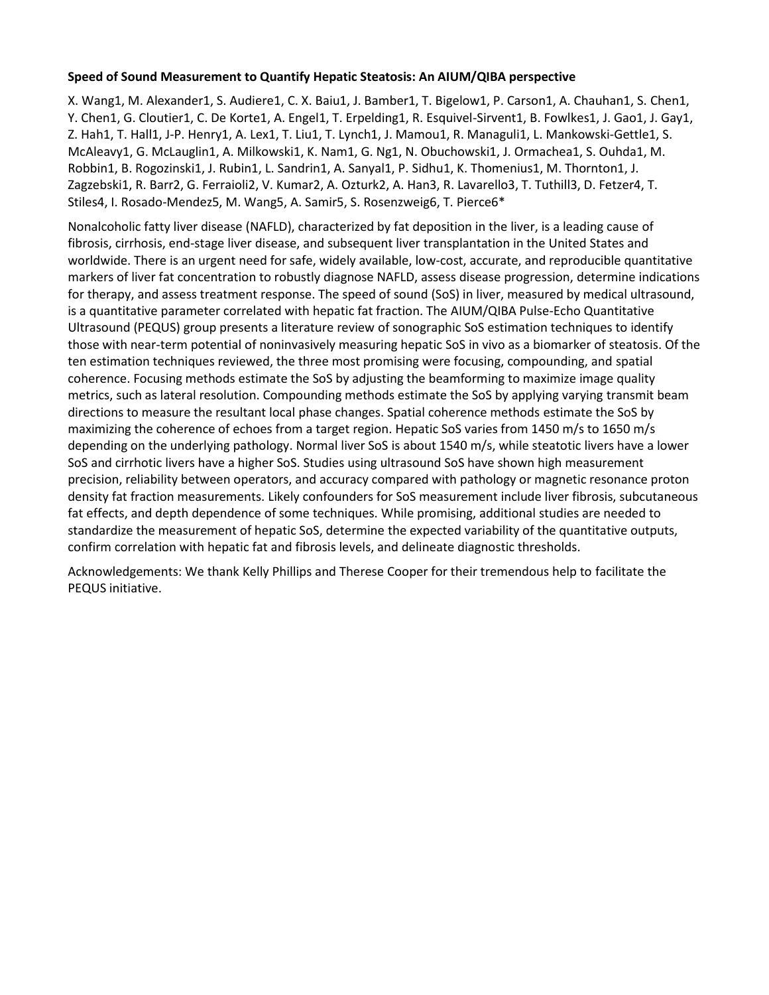## **Speed of Sound Measurement to Quantify Hepatic Steatosis: An AIUM/QIBA perspective**

X. Wang1, M. Alexander1, S. Audiere1, C. X. Baiu1, J. Bamber1, T. Bigelow1, P. Carson1, A. Chauhan1, S. Chen1, Y. Chen1, G. Cloutier1, C. De Korte1, A. Engel1, T. Erpelding1, R. Esquivel-Sirvent1, B. Fowlkes1, J. Gao1, J. Gay1, Z. Hah1, T. Hall1, J-P. Henry1, A. Lex1, T. Liu1, T. Lynch1, J. Mamou1, R. Managuli1, L. Mankowski-Gettle1, S. McAleavy1, G. McLauglin1, A. Milkowski1, K. Nam1, G. Ng1, N. Obuchowski1, J. Ormachea1, S. Ouhda1, M. Robbin1, B. Rogozinski1, J. Rubin1, L. Sandrin1, A. Sanyal1, P. Sidhu1, K. Thomenius1, M. Thornton1, J. Zagzebski1, R. Barr2, G. Ferraioli2, V. Kumar2, A. Ozturk2, A. Han3, R. Lavarello3, T. Tuthill3, D. Fetzer4, T. Stiles4, I. Rosado-Mendez5, M. Wang5, A. Samir5, S. Rosenzweig6, T. Pierce6\*

Nonalcoholic fatty liver disease (NAFLD), characterized by fat deposition in the liver, is a leading cause of fibrosis, cirrhosis, end-stage liver disease, and subsequent liver transplantation in the United States and worldwide. There is an urgent need for safe, widely available, low-cost, accurate, and reproducible quantitative markers of liver fat concentration to robustly diagnose NAFLD, assess disease progression, determine indications for therapy, and assess treatment response. The speed of sound (SoS) in liver, measured by medical ultrasound, is a quantitative parameter correlated with hepatic fat fraction. The AIUM/QIBA Pulse-Echo Quantitative Ultrasound (PEQUS) group presents a literature review of sonographic SoS estimation techniques to identify those with near-term potential of noninvasively measuring hepatic SoS in vivo as a biomarker of steatosis. Of the ten estimation techniques reviewed, the three most promising were focusing, compounding, and spatial coherence. Focusing methods estimate the SoS by adjusting the beamforming to maximize image quality metrics, such as lateral resolution. Compounding methods estimate the SoS by applying varying transmit beam directions to measure the resultant local phase changes. Spatial coherence methods estimate the SoS by maximizing the coherence of echoes from a target region. Hepatic SoS varies from 1450 m/s to 1650 m/s depending on the underlying pathology. Normal liver SoS is about 1540 m/s, while steatotic livers have a lower SoS and cirrhotic livers have a higher SoS. Studies using ultrasound SoS have shown high measurement precision, reliability between operators, and accuracy compared with pathology or magnetic resonance proton density fat fraction measurements. Likely confounders for SoS measurement include liver fibrosis, subcutaneous fat effects, and depth dependence of some techniques. While promising, additional studies are needed to standardize the measurement of hepatic SoS, determine the expected variability of the quantitative outputs, confirm correlation with hepatic fat and fibrosis levels, and delineate diagnostic thresholds.

Acknowledgements: We thank Kelly Phillips and Therese Cooper for their tremendous help to facilitate the PEQUS initiative.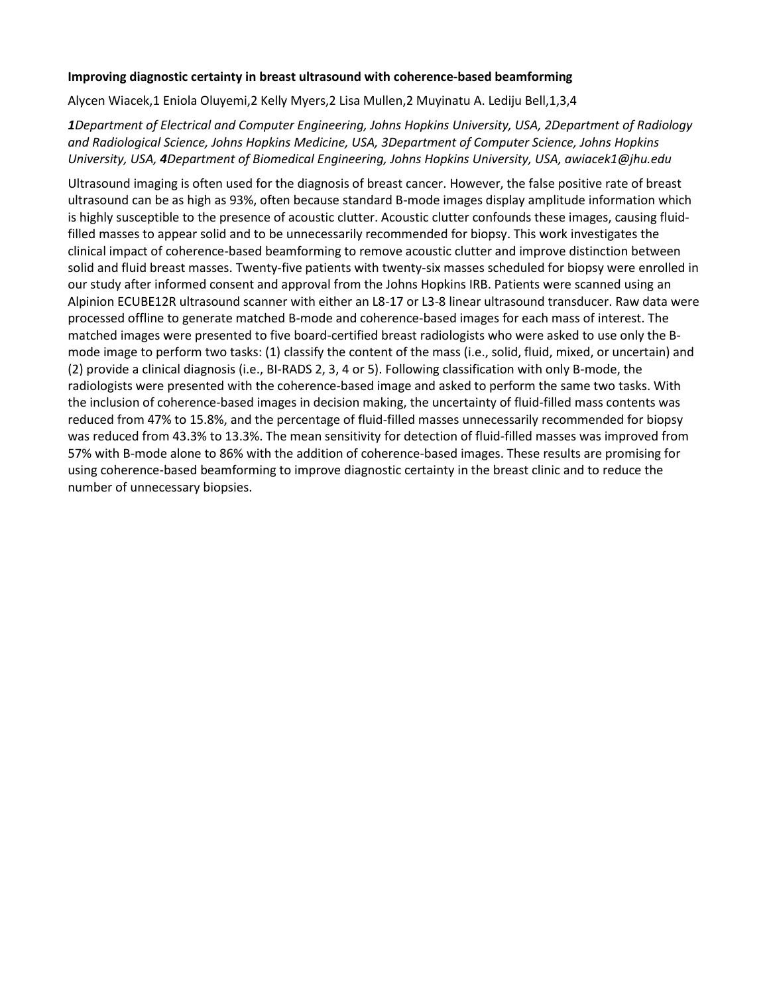## **Improving diagnostic certainty in breast ultrasound with coherence-based beamforming**

Alycen Wiacek,1 Eniola Oluyemi,2 Kelly Myers,2 Lisa Mullen,2 Muyinatu A. Lediju Bell,1,3,4

*1Department of Electrical and Computer Engineering, Johns Hopkins University, USA, 2Department of Radiology and Radiological Science, Johns Hopkins Medicine, USA, 3Department of Computer Science, Johns Hopkins University, USA, 4Department of Biomedical Engineering, Johns Hopkins University, USA, awiacek1@jhu.edu*

Ultrasound imaging is often used for the diagnosis of breast cancer. However, the false positive rate of breast ultrasound can be as high as 93%, often because standard B-mode images display amplitude information which is highly susceptible to the presence of acoustic clutter. Acoustic clutter confounds these images, causing fluidfilled masses to appear solid and to be unnecessarily recommended for biopsy. This work investigates the clinical impact of coherence-based beamforming to remove acoustic clutter and improve distinction between solid and fluid breast masses. Twenty-five patients with twenty-six masses scheduled for biopsy were enrolled in our study after informed consent and approval from the Johns Hopkins IRB. Patients were scanned using an Alpinion ECUBE12R ultrasound scanner with either an L8-17 or L3-8 linear ultrasound transducer. Raw data were processed offline to generate matched B-mode and coherence-based images for each mass of interest. The matched images were presented to five board-certified breast radiologists who were asked to use only the Bmode image to perform two tasks: (1) classify the content of the mass (i.e., solid, fluid, mixed, or uncertain) and (2) provide a clinical diagnosis (i.e., BI-RADS 2, 3, 4 or 5). Following classification with only B-mode, the radiologists were presented with the coherence-based image and asked to perform the same two tasks. With the inclusion of coherence-based images in decision making, the uncertainty of fluid-filled mass contents was reduced from 47% to 15.8%, and the percentage of fluid-filled masses unnecessarily recommended for biopsy was reduced from 43.3% to 13.3%. The mean sensitivity for detection of fluid-filled masses was improved from 57% with B-mode alone to 86% with the addition of coherence-based images. These results are promising for using coherence-based beamforming to improve diagnostic certainty in the breast clinic and to reduce the number of unnecessary biopsies.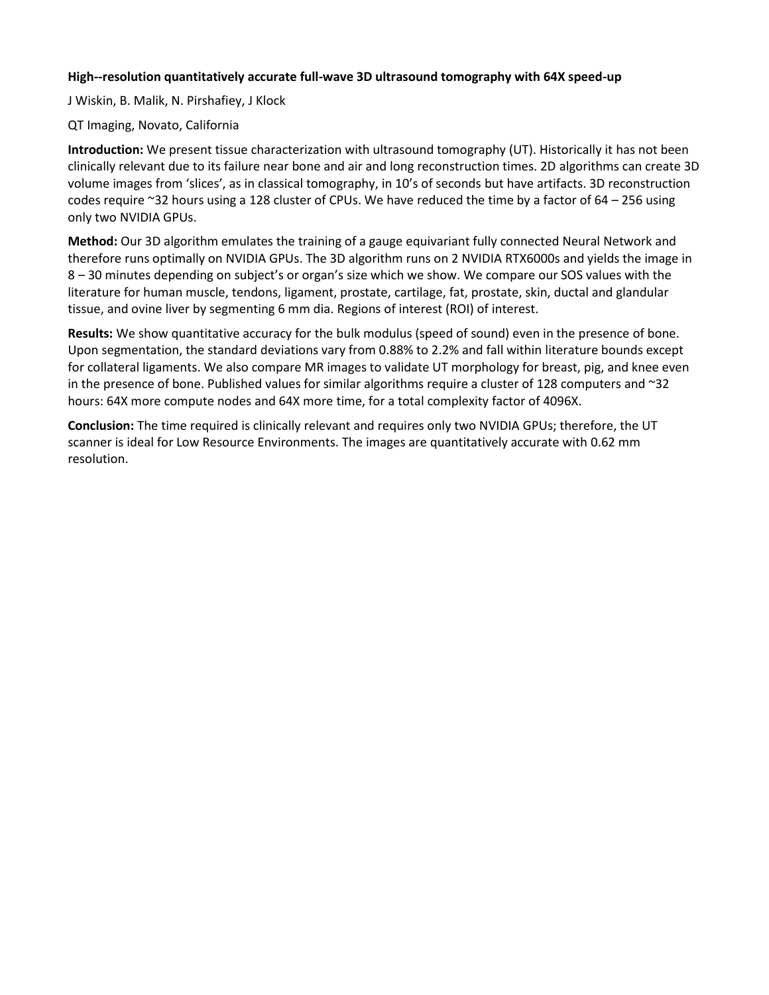# **High--resolution quantitatively accurate full-wave 3D ultrasound tomography with 64X speed-up**

J Wiskin, B. Malik, N. Pirshafiey, J Klock

## QT Imaging, Novato, California

**Introduction:** We present tissue characterization with ultrasound tomography (UT). Historically it has not been clinically relevant due to its failure near bone and air and long reconstruction times. 2D algorithms can create 3D volume images from 'slices', as in classical tomography, in 10's of seconds but have artifacts. 3D reconstruction codes require ~32 hours using a 128 cluster of CPUs. We have reduced the time by a factor of 64 – 256 using only two NVIDIA GPUs.

**Method:** Our 3D algorithm emulates the training of a gauge equivariant fully connected Neural Network and therefore runs optimally on NVIDIA GPUs. The 3D algorithm runs on 2 NVIDIA RTX6000s and yields the image in 8 – 30 minutes depending on subject's or organ's size which we show. We compare our SOS values with the literature for human muscle, tendons, ligament, prostate, cartilage, fat, prostate, skin, ductal and glandular tissue, and ovine liver by segmenting 6 mm dia. Regions of interest (ROI) of interest.

**Results:** We show quantitative accuracy for the bulk modulus (speed of sound) even in the presence of bone. Upon segmentation, the standard deviations vary from 0.88% to 2.2% and fall within literature bounds except for collateral ligaments. We also compare MR images to validate UT morphology for breast, pig, and knee even in the presence of bone. Published values for similar algorithms require a cluster of 128 computers and  $\approx$ 32 hours: 64X more compute nodes and 64X more time, for a total complexity factor of 4096X.

**Conclusion:** The time required is clinically relevant and requires only two NVIDIA GPUs; therefore, the UT scanner is ideal for Low Resource Environments. The images are quantitatively accurate with 0.62 mm resolution.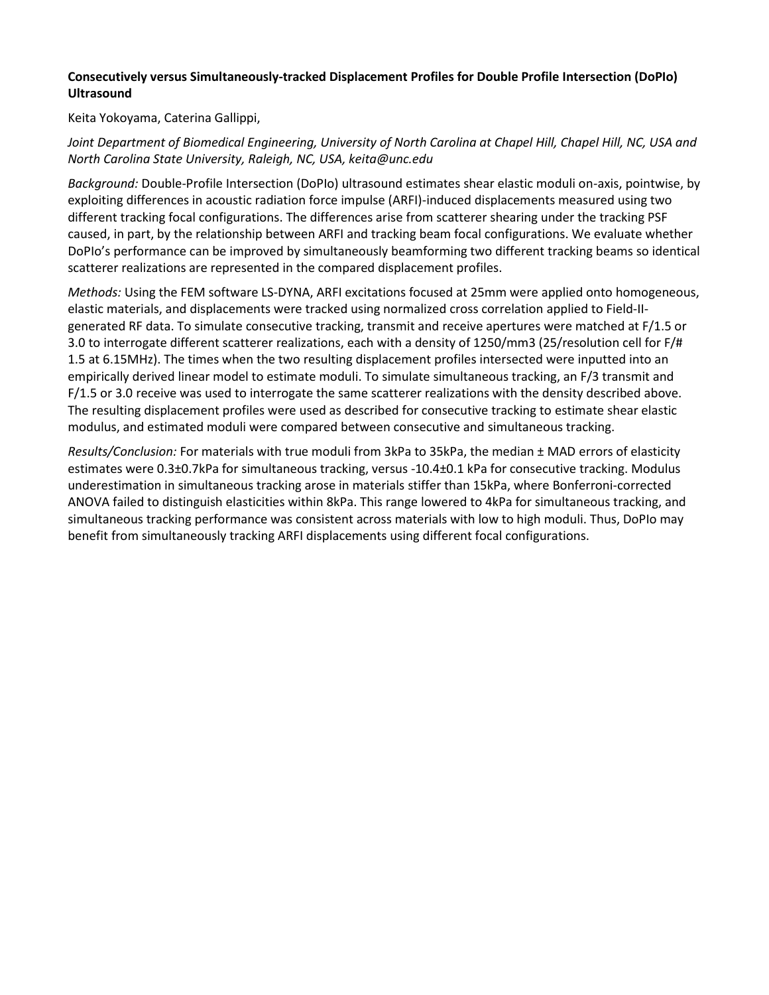# **Consecutively versus Simultaneously-tracked Displacement Profiles for Double Profile Intersection (DoPIo) Ultrasound**

Keita Yokoyama, Caterina Gallippi,

# *Joint Department of Biomedical Engineering, University of North Carolina at Chapel Hill, Chapel Hill, NC, USA and North Carolina State University, Raleigh, NC, USA, keita@unc.edu*

*Background:* Double-Profile Intersection (DoPIo) ultrasound estimates shear elastic moduli on-axis, pointwise, by exploiting differences in acoustic radiation force impulse (ARFI)-induced displacements measured using two different tracking focal configurations. The differences arise from scatterer shearing under the tracking PSF caused, in part, by the relationship between ARFI and tracking beam focal configurations. We evaluate whether DoPIo's performance can be improved by simultaneously beamforming two different tracking beams so identical scatterer realizations are represented in the compared displacement profiles.

*Methods:* Using the FEM software LS-DYNA, ARFI excitations focused at 25mm were applied onto homogeneous, elastic materials, and displacements were tracked using normalized cross correlation applied to Field-IIgenerated RF data. To simulate consecutive tracking, transmit and receive apertures were matched at F/1.5 or 3.0 to interrogate different scatterer realizations, each with a density of 1250/mm3 (25/resolution cell for F/# 1.5 at 6.15MHz). The times when the two resulting displacement profiles intersected were inputted into an empirically derived linear model to estimate moduli. To simulate simultaneous tracking, an F/3 transmit and F/1.5 or 3.0 receive was used to interrogate the same scatterer realizations with the density described above. The resulting displacement profiles were used as described for consecutive tracking to estimate shear elastic modulus, and estimated moduli were compared between consecutive and simultaneous tracking.

*Results/Conclusion:* For materials with true moduli from 3kPa to 35kPa, the median ± MAD errors of elasticity estimates were 0.3±0.7kPa for simultaneous tracking, versus -10.4±0.1 kPa for consecutive tracking. Modulus underestimation in simultaneous tracking arose in materials stiffer than 15kPa, where Bonferroni-corrected ANOVA failed to distinguish elasticities within 8kPa. This range lowered to 4kPa for simultaneous tracking, and simultaneous tracking performance was consistent across materials with low to high moduli. Thus, DoPIo may benefit from simultaneously tracking ARFI displacements using different focal configurations.